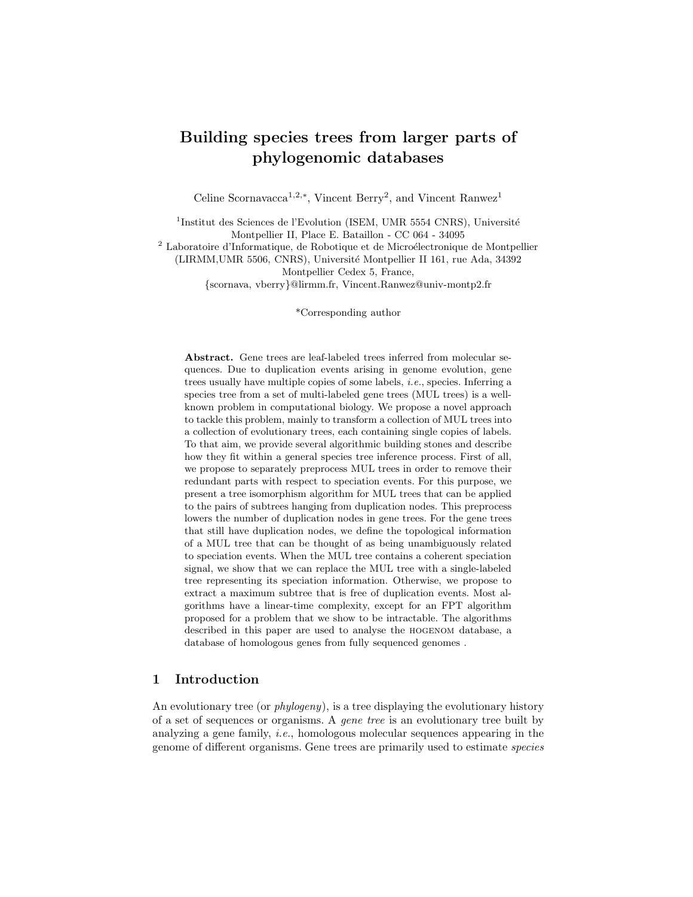# Building species trees from larger parts of phylogenomic databases

Celine Scornavacca<sup>1,2,∗</sup>, Vincent Berry<sup>2</sup>, and Vincent Ranwez<sup>1</sup>

<sup>1</sup>Institut des Sciences de l'Evolution (ISEM, UMR 5554 CNRS), Université Montpellier II, Place E. Bataillon - CC 064 - 34095

 $^{\rm 2}$  Laboratoire d'Informatique, de Robotique et de Microélectronique de Montpellier

(LIRMM,UMR 5506, CNRS), Universit´e Montpellier II 161, rue Ada, 34392 Montpellier Cedex 5, France,

{scornava, vberry}@lirmm.fr, Vincent.Ranwez@univ-montp2.fr

\*Corresponding author

Abstract. Gene trees are leaf-labeled trees inferred from molecular sequences. Due to duplication events arising in genome evolution, gene trees usually have multiple copies of some labels, i.e., species. Inferring a species tree from a set of multi-labeled gene trees (MUL trees) is a wellknown problem in computational biology. We propose a novel approach to tackle this problem, mainly to transform a collection of MUL trees into a collection of evolutionary trees, each containing single copies of labels. To that aim, we provide several algorithmic building stones and describe how they fit within a general species tree inference process. First of all, we propose to separately preprocess MUL trees in order to remove their redundant parts with respect to speciation events. For this purpose, we present a tree isomorphism algorithm for MUL trees that can be applied to the pairs of subtrees hanging from duplication nodes. This preprocess lowers the number of duplication nodes in gene trees. For the gene trees that still have duplication nodes, we define the topological information of a MUL tree that can be thought of as being unambiguously related to speciation events. When the MUL tree contains a coherent speciation signal, we show that we can replace the MUL tree with a single-labeled tree representing its speciation information. Otherwise, we propose to extract a maximum subtree that is free of duplication events. Most algorithms have a linear-time complexity, except for an FPT algorithm proposed for a problem that we show to be intractable. The algorithms described in this paper are used to analyse the hogenom database, a database of homologous genes from fully sequenced genomes .

# 1 Introduction

An evolutionary tree (or *phylogeny*), is a tree displaying the evolutionary history of a set of sequences or organisms. A gene tree is an evolutionary tree built by analyzing a gene family, i.e., homologous molecular sequences appearing in the genome of different organisms. Gene trees are primarily used to estimate species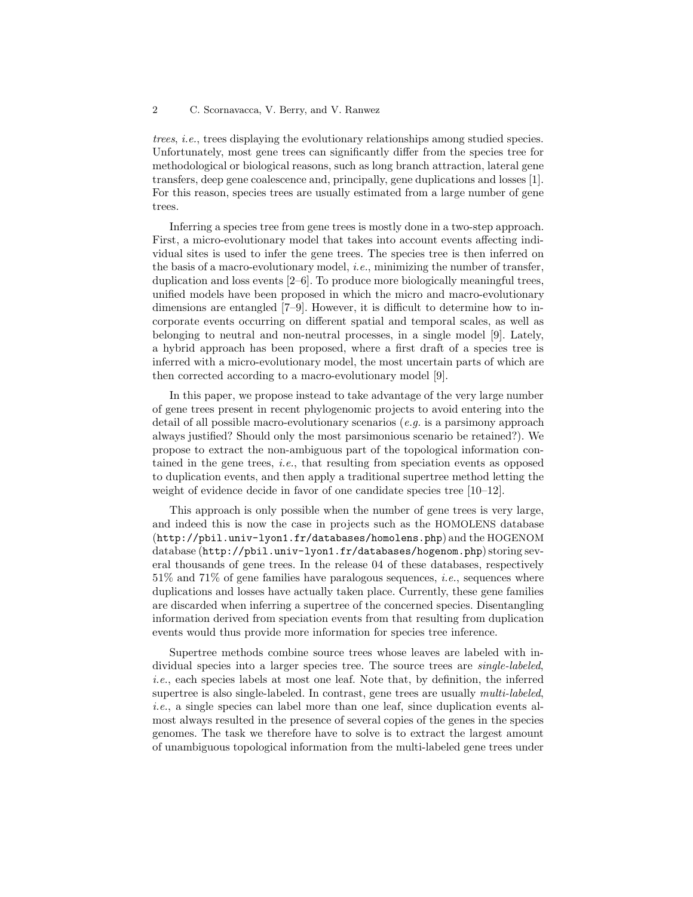trees, i.e., trees displaying the evolutionary relationships among studied species. Unfortunately, most gene trees can significantly differ from the species tree for methodological or biological reasons, such as long branch attraction, lateral gene transfers, deep gene coalescence and, principally, gene duplications and losses [1]. For this reason, species trees are usually estimated from a large number of gene trees.

Inferring a species tree from gene trees is mostly done in a two-step approach. First, a micro-evolutionary model that takes into account events affecting individual sites is used to infer the gene trees. The species tree is then inferred on the basis of a macro-evolutionary model, *i.e.*, minimizing the number of transfer, duplication and loss events [2–6]. To produce more biologically meaningful trees, unified models have been proposed in which the micro and macro-evolutionary dimensions are entangled [7–9]. However, it is difficult to determine how to incorporate events occurring on different spatial and temporal scales, as well as belonging to neutral and non-neutral processes, in a single model [9]. Lately, a hybrid approach has been proposed, where a first draft of a species tree is inferred with a micro-evolutionary model, the most uncertain parts of which are then corrected according to a macro-evolutionary model [9].

In this paper, we propose instead to take advantage of the very large number of gene trees present in recent phylogenomic projects to avoid entering into the detail of all possible macro-evolutionary scenarios (e.g. is a parsimony approach always justified? Should only the most parsimonious scenario be retained?). We propose to extract the non-ambiguous part of the topological information contained in the gene trees, *i.e.*, that resulting from speciation events as opposed to duplication events, and then apply a traditional supertree method letting the weight of evidence decide in favor of one candidate species tree [10–12].

This approach is only possible when the number of gene trees is very large, and indeed this is now the case in projects such as the HOMOLENS database (http://pbil.univ-lyon1.fr/databases/homolens.php) and the HOGENOM database (http://pbil.univ-lyon1.fr/databases/hogenom.php) storing several thousands of gene trees. In the release 04 of these databases, respectively  $51\%$  and  $71\%$  of gene families have paralogous sequences, *i.e.*, sequences where duplications and losses have actually taken place. Currently, these gene families are discarded when inferring a supertree of the concerned species. Disentangling information derived from speciation events from that resulting from duplication events would thus provide more information for species tree inference.

Supertree methods combine source trees whose leaves are labeled with individual species into a larger species tree. The source trees are *single-labeled*, i.e., each species labels at most one leaf. Note that, by definition, the inferred supertree is also single-labeled. In contrast, gene trees are usually multi-labeled, i.e., a single species can label more than one leaf, since duplication events almost always resulted in the presence of several copies of the genes in the species genomes. The task we therefore have to solve is to extract the largest amount of unambiguous topological information from the multi-labeled gene trees under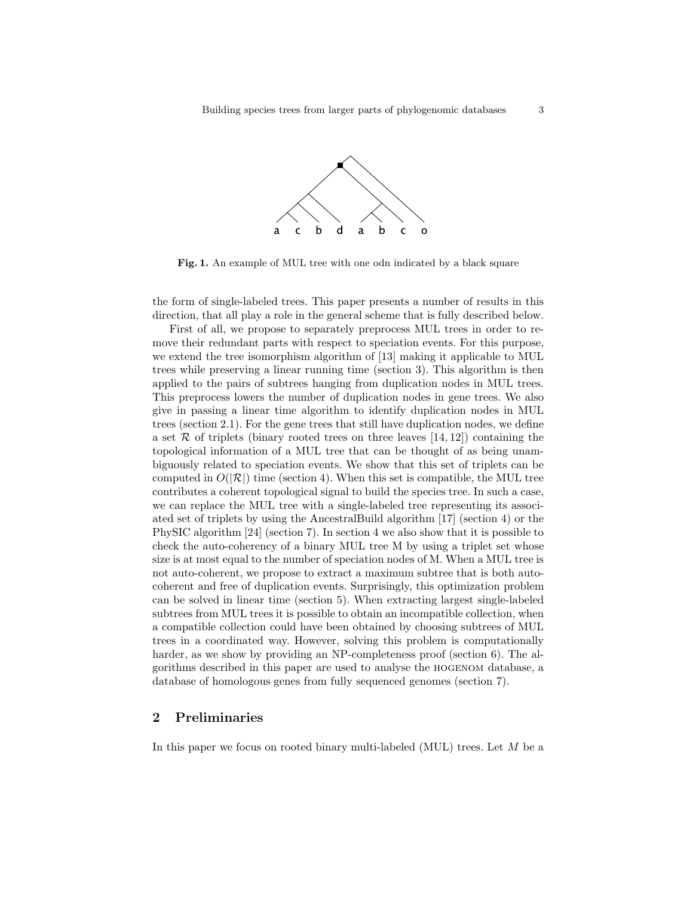

Fig. 1. An example of MUL tree with one odn indicated by a black square

the form of single-labeled trees. This paper presents a number of results in this direction, that all play a role in the general scheme that is fully described below.

First of all, we propose to separately preprocess MUL trees in order to remove their redundant parts with respect to speciation events. For this purpose, we extend the tree isomorphism algorithm of [13] making it applicable to MUL trees while preserving a linear running time (section 3). This algorithm is then applied to the pairs of subtrees hanging from duplication nodes in MUL trees. This preprocess lowers the number of duplication nodes in gene trees. We also give in passing a linear time algorithm to identify duplication nodes in MUL trees (section 2.1). For the gene trees that still have duplication nodes, we define a set  $\mathcal R$  of triplets (binary rooted trees on three leaves [14, 12]) containing the topological information of a MUL tree that can be thought of as being unambiguously related to speciation events. We show that this set of triplets can be computed in  $O(|\mathcal{R}|)$  time (section 4). When this set is compatible, the MUL tree contributes a coherent topological signal to build the species tree. In such a case, we can replace the MUL tree with a single-labeled tree representing its associated set of triplets by using the AncestralBuild algorithm [17] (section 4) or the PhySIC algorithm [24] (section 7). In section 4 we also show that it is possible to check the auto-coherency of a binary MUL tree M by using a triplet set whose size is at most equal to the number of speciation nodes of M. When a MUL tree is not auto-coherent, we propose to extract a maximum subtree that is both autocoherent and free of duplication events. Surprisingly, this optimization problem can be solved in linear time (section 5). When extracting largest single-labeled subtrees from MUL trees it is possible to obtain an incompatible collection, when a compatible collection could have been obtained by choosing subtrees of MUL trees in a coordinated way. However, solving this problem is computationally harder, as we show by providing an NP-completeness proof (section 6). The algorithms described in this paper are used to analyse the hogenom database, a database of homologous genes from fully sequenced genomes (section 7).

### 2 Preliminaries

In this paper we focus on rooted binary multi-labeled (MUL) trees. Let M be a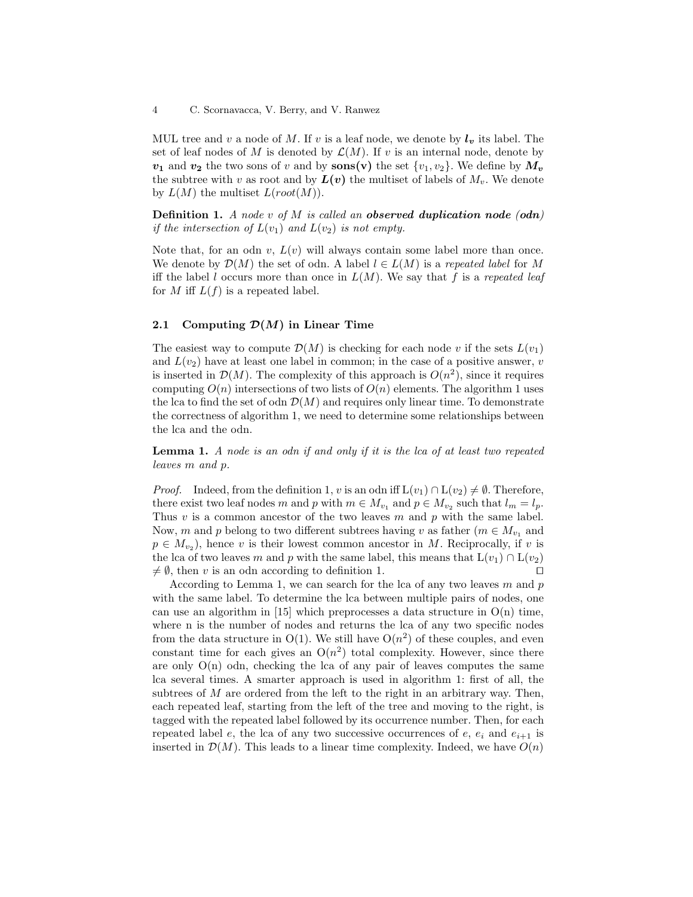MUL tree and v a node of M. If v is a leaf node, we denote by  $l_v$  its label. The set of leaf nodes of M is denoted by  $\mathcal{L}(M)$ . If v is an internal node, denote by  $v_1$  and  $v_2$  the two sons of v and by sons(v) the set  $\{v_1, v_2\}$ . We define by  $M_v$ the subtree with v as root and by  $L(v)$  the multiset of labels of  $M_v$ . We denote by  $L(M)$  the multiset  $L(root(M))$ .

**Definition 1.** A node v of M is called an **observed duplication** node  $($ odn) if the intersection of  $L(v_1)$  and  $L(v_2)$  is not empty.

Note that, for an odn v,  $L(v)$  will always contain some label more than once. We denote by  $\mathcal{D}(M)$  the set of odn. A label  $l \in L(M)$  is a repeated label for M iff the label l occurs more than once in  $L(M)$ . We say that f is a repeated leaf for M iff  $L(f)$  is a repeated label.

### 2.1 Computing  $\mathcal{D}(M)$  in Linear Time

The easiest way to compute  $\mathcal{D}(M)$  is checking for each node v if the sets  $L(v_1)$ and  $L(v_2)$  have at least one label in common; in the case of a positive answer, v is inserted in  $\mathcal{D}(M)$ . The complexity of this approach is  $O(n^2)$ , since it requires computing  $O(n)$  intersections of two lists of  $O(n)$  elements. The algorithm 1 uses the lca to find the set of odn  $\mathcal{D}(M)$  and requires only linear time. To demonstrate the correctness of algorithm 1, we need to determine some relationships between the lca and the odn.

Lemma 1. A node is an odn if and only if it is the lca of at least two repeated leaves m and p.

*Proof.* Indeed, from the definition 1, v is an odn iff  $L(v_1) \cap L(v_2) \neq \emptyset$ . Therefore, there exist two leaf nodes m and p with  $m \in M_{v_1}$  and  $p \in M_{v_2}$  such that  $l_m = l_p$ . Thus  $v$  is a common ancestor of the two leaves  $m$  and  $p$  with the same label. Now, m and p belong to two different subtrees having v as father ( $m \in M_{v_1}$  and  $p \in M_{v_2}$ , hence v is their lowest common ancestor in M. Reciprocally, if v is the lca of two leaves m and p with the same label, this means that  $L(v_1) \cap L(v_2)$  $\neq \emptyset$ , then v is an odn according to definition 1. □

According to Lemma 1, we can search for the lca of any two leaves  $m$  and  $p$ with the same label. To determine the lca between multiple pairs of nodes, one can use an algorithm in  $[15]$  which preprocesses a data structure in  $O(n)$  time, where n is the number of nodes and returns the lca of any two specific nodes from the data structure in  $O(1)$ . We still have  $O(n^2)$  of these couples, and even constant time for each gives an  $O(n^2)$  total complexity. However, since there are only  $O(n)$  odn, checking the lca of any pair of leaves computes the same lca several times. A smarter approach is used in algorithm 1: first of all, the subtrees of  $M$  are ordered from the left to the right in an arbitrary way. Then, each repeated leaf, starting from the left of the tree and moving to the right, is tagged with the repeated label followed by its occurrence number. Then, for each repeated label e, the lca of any two successive occurrences of e,  $e_i$  and  $e_{i+1}$  is inserted in  $\mathcal{D}(M)$ . This leads to a linear time complexity. Indeed, we have  $O(n)$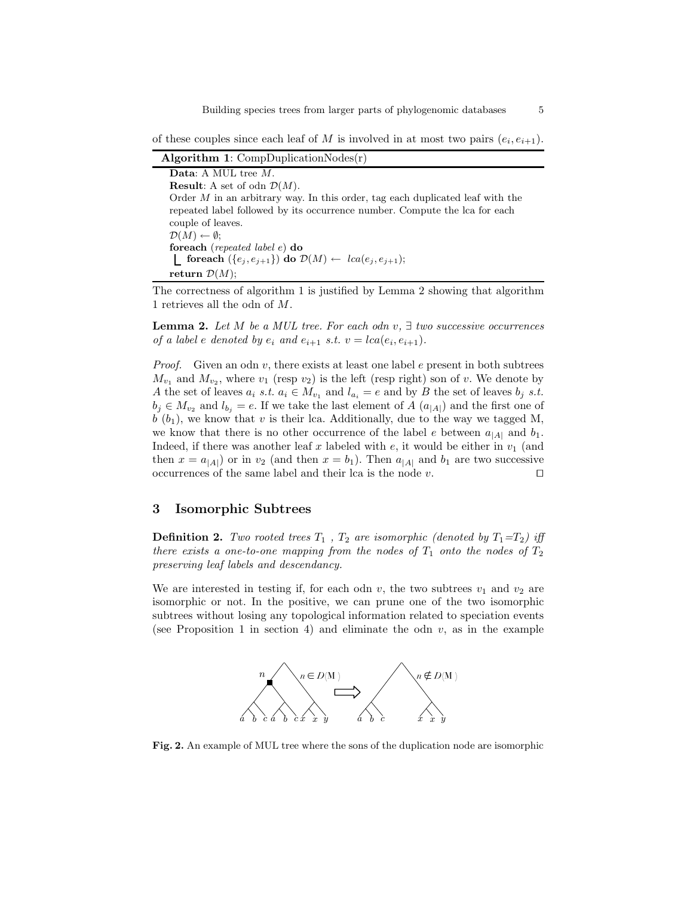Building species trees from larger parts of phylogenomic databases 5

of these couples since each leaf of M is involved in at most two pairs  $(e_i, e_{i+1})$ .

Algorithm 1:  $CompluplicationNodes(r)$ 

Data: A MUL tree M. **Result:** A set of odn  $\mathcal{D}(M)$ . Order  $M$  in an arbitrary way. In this order, tag each duplicated leaf with the repeated label followed by its occurrence number. Compute the lca for each couple of leaves.  $\mathcal{D}(M) \leftarrow \emptyset;$ foreach (repeated label e) do **foreach**  $(\{e_j, e_{j+1}\})$  do  $\mathcal{D}(M) \leftarrow \text{lca}(e_j, e_{j+1});$ return  $\mathcal{D}(M)$ ;

The correctness of algorithm 1 is justified by Lemma 2 showing that algorithm 1 retrieves all the odn of M.

**Lemma 2.** Let M be a MUL tree. For each odn v,  $\exists$  two successive occurrences of a label e denoted by  $e_i$  and  $e_{i+1}$  s.t.  $v = lca(e_i, e_{i+1})$ .

*Proof.* Given an odn v, there exists at least one label e present in both subtrees  $M_{v_1}$  and  $M_{v_2}$ , where  $v_1$  (resp  $v_2$ ) is the left (resp right) son of v. We denote by A the set of leaves  $a_i$  s.t.  $a_i \in M_{v_1}$  and  $l_{a_i} = e$  and by B the set of leaves  $b_j$  s.t.  $b_j \in M_{v_2}$  and  $l_{b_j} = e$ . If we take the last element of A  $(a_{|A|})$  and the first one of  $b(b_1)$ , we know that v is their lca. Additionally, due to the way we tagged M, we know that there is no other occurrence of the label e between  $a_{|A|}$  and  $b_1$ . Indeed, if there was another leaf x labeled with  $e$ , it would be either in  $v_1$  (and then  $x = a_{|A|}$  or in  $v_2$  (and then  $x = b_1$ ). Then  $a_{|A|}$  and  $b_1$  are two successive occurrences of the same label and their lca is the node v. □

### 3 Isomorphic Subtrees

**Definition 2.** Two rooted trees  $T_1$ ,  $T_2$  are isomorphic (denoted by  $T_1 = T_2$ ) iff there exists a one-to-one mapping from the nodes of  $T_1$  onto the nodes of  $T_2$ preserving leaf labels and descendancy.

We are interested in testing if, for each odn v, the two subtrees  $v_1$  and  $v_2$  are isomorphic or not. In the positive, we can prune one of the two isomorphic subtrees without losing any topological information related to speciation events (see Proposition 1 in section 4) and eliminate the odn  $v$ , as in the example



Fig. 2. An example of MUL tree where the sons of the duplication node are isomorphic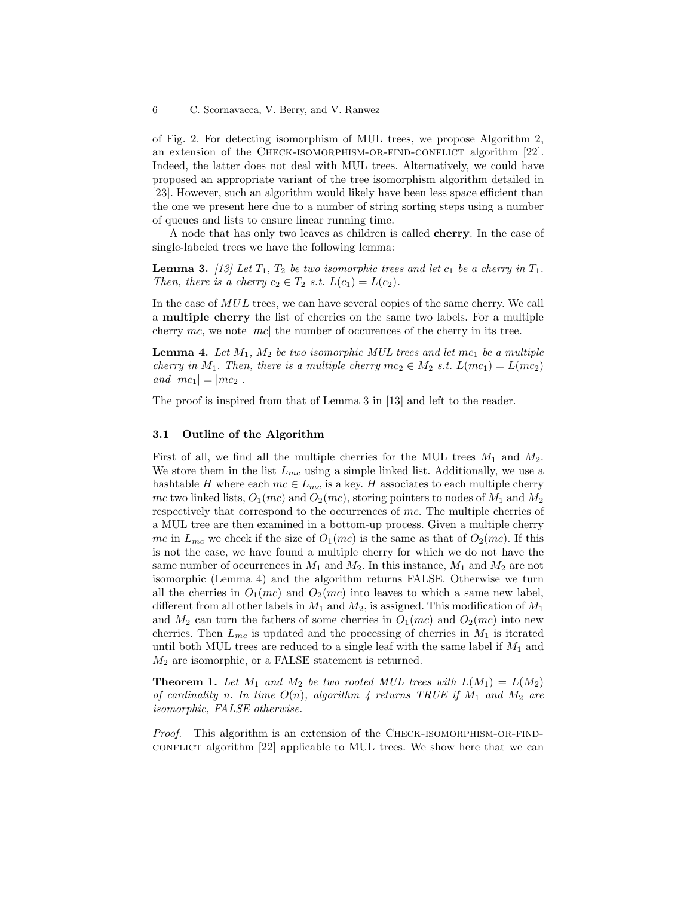of Fig. 2. For detecting isomorphism of MUL trees, we propose Algorithm 2, an extension of the CHECK-ISOMORPHISM-OR-FIND-CONFLICT algorithm [22]. Indeed, the latter does not deal with MUL trees. Alternatively, we could have proposed an appropriate variant of the tree isomorphism algorithm detailed in [23]. However, such an algorithm would likely have been less space efficient than the one we present here due to a number of string sorting steps using a number of queues and lists to ensure linear running time.

A node that has only two leaves as children is called cherry. In the case of single-labeled trees we have the following lemma:

**Lemma 3.** [13] Let  $T_1$ ,  $T_2$  be two isomorphic trees and let  $c_1$  be a cherry in  $T_1$ . Then, there is a cherry  $c_2 \in T_2$  s.t.  $L(c_1) = L(c_2)$ .

In the case of MUL trees, we can have several copies of the same cherry. We call a multiple cherry the list of cherries on the same two labels. For a multiple cherry mc, we note  $|mc|$  the number of occurences of the cherry in its tree.

**Lemma 4.** Let  $M_1$ ,  $M_2$  be two isomorphic MUL trees and let mc<sub>1</sub> be a multiple cherry in M<sub>1</sub>. Then, there is a multiple cherry  $mc_2 \in M_2$  s.t.  $L(mc_1) = L(mc_2)$ and  $|mc_1| = |mc_2|$ .

The proof is inspired from that of Lemma 3 in [13] and left to the reader.

### 3.1 Outline of the Algorithm

First of all, we find all the multiple cherries for the MUL trees  $M_1$  and  $M_2$ . We store them in the list  $L_{mc}$  using a simple linked list. Additionally, we use a hashtable H where each  $mc \in L_{mc}$  is a key. H associates to each multiple cherry mc two linked lists,  $O_1(mc)$  and  $O_2(mc)$ , storing pointers to nodes of  $M_1$  and  $M_2$ respectively that correspond to the occurrences of mc. The multiple cherries of a MUL tree are then examined in a bottom-up process. Given a multiple cherry mc in  $L_{mc}$  we check if the size of  $O_1(mc)$  is the same as that of  $O_2(mc)$ . If this is not the case, we have found a multiple cherry for which we do not have the same number of occurrences in  $M_1$  and  $M_2$ . In this instance,  $M_1$  and  $M_2$  are not isomorphic (Lemma 4) and the algorithm returns FALSE. Otherwise we turn all the cherries in  $O_1(mc)$  and  $O_2(mc)$  into leaves to which a same new label, different from all other labels in  $M_1$  and  $M_2$ , is assigned. This modification of  $M_1$ and  $M_2$  can turn the fathers of some cherries in  $O_1(mc)$  and  $O_2(mc)$  into new cherries. Then  $L_{mc}$  is updated and the processing of cherries in  $M_1$  is iterated until both MUL trees are reduced to a single leaf with the same label if  $M_1$  and  $M_2$  are isomorphic, or a FALSE statement is returned.

**Theorem 1.** Let  $M_1$  and  $M_2$  be two rooted MUL trees with  $L(M_1) = L(M_2)$ of cardinality n. In time  $O(n)$ , algorithm 4 returns TRUE if  $M_1$  and  $M_2$  are isomorphic, FALSE otherwise.

Proof. This algorithm is an extension of the CHECK-ISOMORPHISM-OR-FIND- $\text{conr}$ LICT algorithm [22] applicable to MUL trees. We show here that we can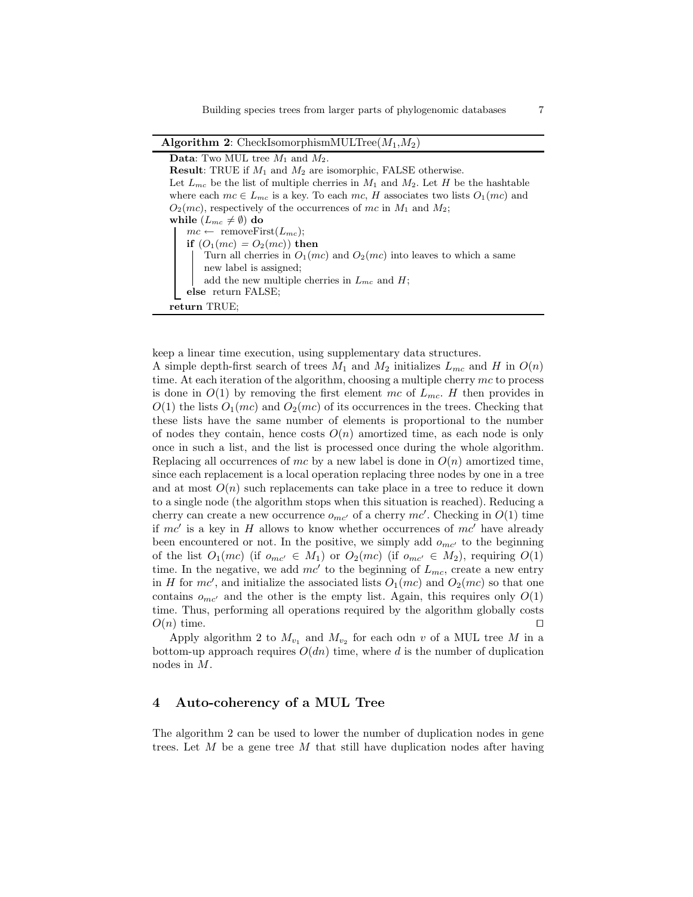Algorithm 2: CheckIsomorphismMULTree( $M_1, M_2$ )

**Data:** Two MUL tree  $M_1$  and  $M_2$ . **Result:** TRUE if  $M_1$  and  $M_2$  are isomorphic, FALSE otherwise. Let  $L_{mc}$  be the list of multiple cherries in  $M_1$  and  $M_2$ . Let H be the hashtable where each  $mc \in L_{mc}$  is a key. To each  $mc$ , H associates two lists  $O_1(mc)$  and  $O_2(mc)$ , respectively of the occurrences of mc in  $M_1$  and  $M_2$ ; while  $(L_{mc} \neq \emptyset)$  do  $mc \leftarrow \text{removeFirst}(L_{mc});$ if  $(O_1(mc) = O_2(mc)$  then Turn all cherries in  $O_1(mc)$  and  $O_2(mc)$  into leaves to which a same new label is assigned; add the new multiple cherries in  $L_{mc}$  and  $H$ ; else return FALSE; return TRUE;

keep a linear time execution, using supplementary data structures.

A simple depth-first search of trees  $M_1$  and  $M_2$  initializes  $L_{mc}$  and H in  $O(n)$ time. At each iteration of the algorithm, choosing a multiple cherry  $mc$  to process is done in  $O(1)$  by removing the first element mc of  $L_{mc}$ . H then provides in  $O(1)$  the lists  $O_1(mc)$  and  $O_2(mc)$  of its occurrences in the trees. Checking that these lists have the same number of elements is proportional to the number of nodes they contain, hence costs  $O(n)$  amortized time, as each node is only once in such a list, and the list is processed once during the whole algorithm. Replacing all occurrences of mc by a new label is done in  $O(n)$  amortized time, since each replacement is a local operation replacing three nodes by one in a tree and at most  $O(n)$  such replacements can take place in a tree to reduce it down to a single node (the algorithm stops when this situation is reached). Reducing a cherry can create a new occurrence  $o_{mc'}$  of a cherry  $mc'$ . Checking in  $O(1)$  time if  $mc'$  is a key in H allows to know whether occurrences of  $mc'$  have already been encountered or not. In the positive, we simply add  $o_{mc'}$  to the beginning of the list  $O_1(mc)$  (if  $o_{mc'} \in M_1$ ) or  $O_2(mc)$  (if  $o_{mc'} \in M_2$ ), requiring  $O(1)$ time. In the negative, we add  $mc'$  to the beginning of  $L_{mc}$ , create a new entry in H for  $mc'$ , and initialize the associated lists  $O_1(mc)$  and  $O_2(mc)$  so that one contains  $o_{mc'}$  and the other is the empty list. Again, this requires only  $O(1)$ time. Thus, performing all operations required by the algorithm globally costs  $O(n)$  time. □

Apply algorithm 2 to  $M_{v_1}$  and  $M_{v_2}$  for each odn v of a MUL tree M in a bottom-up approach requires  $O(dn)$  time, where d is the number of duplication nodes in M.

# 4 Auto-coherency of a MUL Tree

The algorithm 2 can be used to lower the number of duplication nodes in gene trees. Let  $M$  be a gene tree  $M$  that still have duplication nodes after having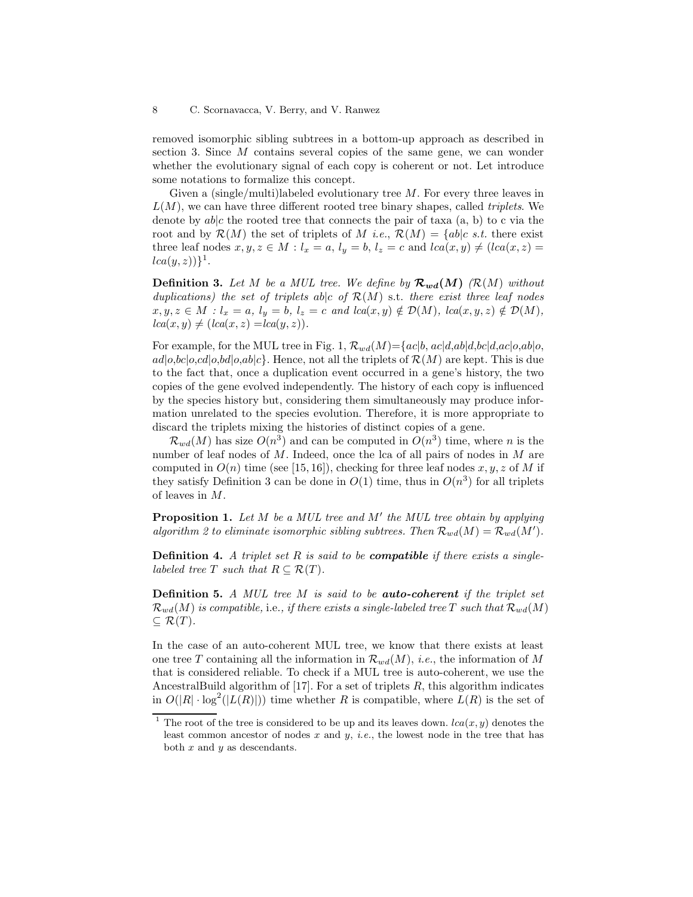removed isomorphic sibling subtrees in a bottom-up approach as described in section 3. Since M contains several copies of the same gene, we can wonder whether the evolutionary signal of each copy is coherent or not. Let introduce some notations to formalize this concept.

Given a (single/multi)labeled evolutionary tree  $M$ . For every three leaves in  $L(M)$ , we can have three different rooted tree binary shapes, called *triplets*. We denote by  $ab|c$  the rooted tree that connects the pair of taxa  $(a, b)$  to c via the root and by  $\mathcal{R}(M)$  the set of triplets of M *i.e.*,  $\mathcal{R}(M) = \{ab|c \text{ s.t. there exist }$ three leaf nodes  $x, y, z \in M : l_x = a, l_y = b, l_z = c$  and  $lca(x, y) \neq (lca(x, z) = b)$  $lca(y,z))\}^{1}.$ 

**Definition 3.** Let M be a MUL tree. We define by  $\mathcal{R}_{wd}(M)$  ( $\mathcal{R}(M)$  without duplications) the set of triplets ab|c of  $\mathcal{R}(M)$  s.t. there exist three leaf nodes  $x, y, z \in M : l_x = a, l_y = b, l_z = c \text{ and } lca(x, y) \notin \mathcal{D}(M), \text{ } lca(x, y, z) \notin \mathcal{D}(M),$  $lca(x, y) \neq (lca(x, z) = lca(y, z)).$ 

For example, for the MUL tree in Fig. 1,  $\mathcal{R}_{wd}(M) = \{ac|b, ac|d, ab|d, bc|d, ac|o, ab|o,$  $ad|o, bc|o, cd|o, bd|o, ab|c$ . Hence, not all the triplets of  $\mathcal{R}(M)$  are kept. This is due to the fact that, once a duplication event occurred in a gene's history, the two copies of the gene evolved independently. The history of each copy is influenced by the species history but, considering them simultaneously may produce information unrelated to the species evolution. Therefore, it is more appropriate to discard the triplets mixing the histories of distinct copies of a gene.

 $\mathcal{R}_{wd}(M)$  has size  $O(n^3)$  and can be computed in  $O(n^3)$  time, where n is the number of leaf nodes of  $M$ . Indeed, once the lca of all pairs of nodes in  $M$  are computed in  $O(n)$  time (see [15, 16]), checking for three leaf nodes x, y, z of M if they satisfy Definition 3 can be done in  $O(1)$  time, thus in  $O(n^3)$  for all triplets of leaves in M.

**Proposition 1.** Let  $M$  be a MUL tree and  $M'$  the MUL tree obtain by applying algorithm 2 to eliminate isomorphic sibling subtrees. Then  $\mathcal{R}_{wd}(M) = \mathcal{R}_{wd}(M')$ .

**Definition 4.** A triplet set R is said to be **compatible** if there exists a singlelabeled tree T such that  $R \subseteq \mathcal{R}(T)$ .

**Definition 5.** A MUL tree  $M$  is said to be **auto-coherent** if the triplet set  $\mathcal{R}_{wd}(M)$  is compatible, i.e., if there exists a single-labeled tree T such that  $\mathcal{R}_{wd}(M)$  $\subseteq \mathcal{R}(T)$ .

In the case of an auto-coherent MUL tree, we know that there exists at least one tree T containing all the information in  $\mathcal{R}_{wd}(M)$ , *i.e.*, the information of M that is considered reliable. To check if a MUL tree is auto-coherent, we use the AncestralBuild algorithm of  $[17]$ . For a set of triplets  $R$ , this algorithm indicates in  $O(|R| \cdot \log^2(|L(R)|))$  time whether R is compatible, where  $L(R)$  is the set of

<sup>&</sup>lt;sup>1</sup> The root of the tree is considered to be up and its leaves down.  $lca(x, y)$  denotes the least common ancestor of nodes x and y, *i.e.*, the lowest node in the tree that has both  $x$  and  $y$  as descendants.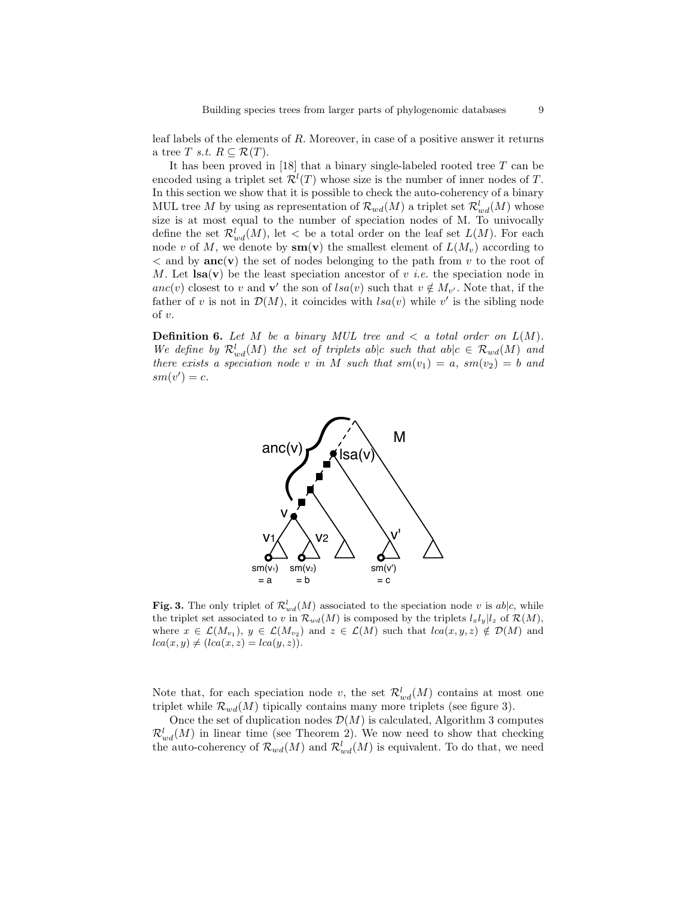leaf labels of the elements of R. Moreover, in case of a positive answer it returns a tree T s.t.  $R \subseteq \mathcal{R}(T)$ .

It has been proved in [18] that a binary single-labeled rooted tree T can be encoded using a triplet set  $\mathcal{R}^l(T)$  whose size is the number of inner nodes of T. In this section we show that it is possible to check the auto-coherency of a binary MUL tree M by using as representation of  $\mathcal{R}_{wd}(M)$  a triplet set  $\mathcal{R}^l_{wd}(M)$  whose size is at most equal to the number of speciation nodes of M. To univocally define the set  $\mathcal{R}^l_{wd}(M)$ , let  $\lt$  be a total order on the leaf set  $L(M)$ . For each node v of M, we denote by  $\mathbf{sm}(\mathbf{v})$  the smallest element of  $L(M_v)$  according to  $\langle$  and by **anc**(**v**) the set of nodes belonging to the path from v to the root of M. Let  $\text{lsa}(v)$  be the least speciation ancestor of v *i.e.* the speciation node in anc(v) closest to v and v' the son of  $lsa(v)$  such that  $v \notin M_{v'}$ . Note that, if the father of v is not in  $\mathcal{D}(M)$ , it coincides with  $lsa(v)$  while v' is the sibling node of v.

**Definition 6.** Let M be a binary MUL tree and  $\lt$  a total order on  $L(M)$ . We define by  $\mathcal{R}_{wd}^l(M)$  the set of triplets ab|c such that  $ab|c \in \mathcal{R}_{wd}(M)$  and there exists a speciation node v in M such that  $sm(v_1) = a$ ,  $sm(v_2) = b$  and  $sm(v') = c.$ 



**Fig. 3.** The only triplet of  $\mathcal{R}_{wd}^l(M)$  associated to the speciation node v is ab|c, while the triplet set associated to v in  $\mathcal{R}_{wd}(M)$  is composed by the triplets  $l_xl_y|l_z$  of  $\mathcal{R}(M)$ , where  $x \in \mathcal{L}(M_{v_1}), y \in \mathcal{L}(M_{v_2})$  and  $z \in \mathcal{L}(M)$  such that  $lca(x, y, z) \notin \mathcal{D}(M)$  and  $lca(x, y) \neq (lca(x, z) = lca(y, z)).$ 

Note that, for each speciation node v, the set  $\mathcal{R}^l_{wd}(M)$  contains at most one triplet while  $\mathcal{R}_{wd}(M)$  tipically contains many more triplets (see figure 3).

Once the set of duplication nodes  $\mathcal{D}(M)$  is calculated, Algorithm 3 computes  $\mathcal{R}_{wd}^l(M)$  in linear time (see Theorem 2). We now need to show that checking the auto-coherency of  $\mathcal{R}_{wd}(M)$  and  $\mathcal{R}_{wd}^l(M)$  is equivalent. To do that, we need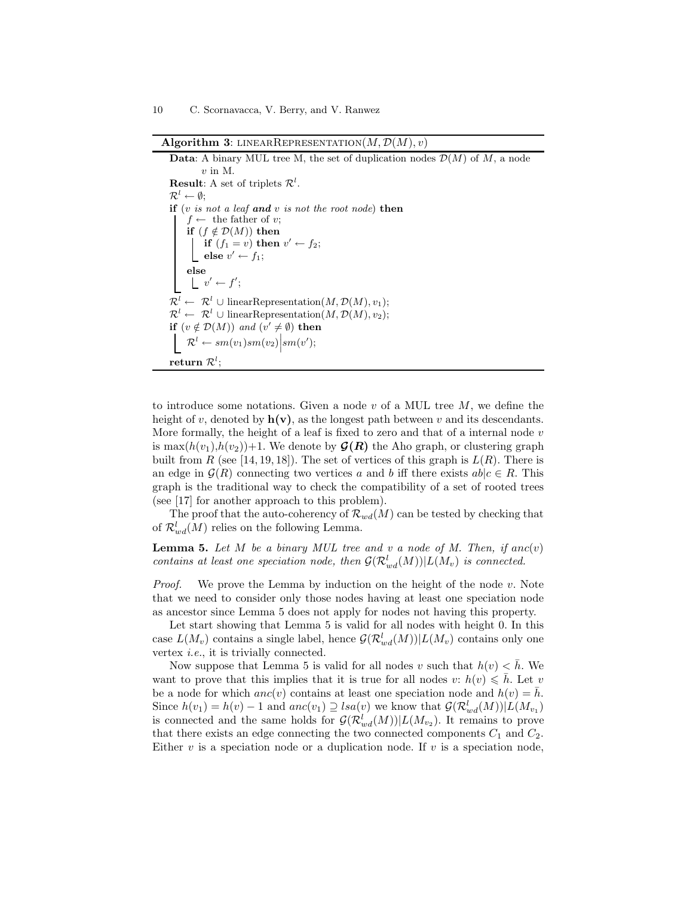Algorithm 3: LINEARREPRESENTATION $(M, \mathcal{D}(M), v)$ 

**Data:** A binary MUL tree M, the set of duplication nodes  $\mathcal{D}(M)$  of M, a node  $v$  in M. **Result:** A set of triplets  $\mathcal{R}^l$ .  $\mathcal{R}^l \leftarrow \emptyset;$ if  $(v \text{ is not a leaf and } v \text{ is not the root node})$  then  $f \leftarrow$  the father of v; if  $(f \notin \mathcal{D}(M))$  then if  $(f_1 = v)$  then  $v' \leftarrow f_2$ ; else  $v' \leftarrow f_1$ ; else  $v' \leftarrow f';$  $\mathcal{R}^l \leftarrow \mathcal{R}^l \cup \text{linearRepresentation}(M, \mathcal{D}(M), v_1);$  $\mathcal{R}^l \leftarrow \mathcal{R}^l \cup \text{linearRepresentation}(M, \mathcal{D}(M), v_2);$ if  $(v \notin \mathcal{D}(M))$  and  $(v' \neq \emptyset)$  then  $\mathcal{R}^l \leftarrow sm(v_1)sm(v_2)\Big| sm(v');$  ${\bf return} \; {\cal R}^l;$ 

to introduce some notations. Given a node  $v$  of a MUL tree  $M$ , we define the height of v, denoted by  $h(v)$ , as the longest path between v and its descendants. More formally, the height of a leaf is fixed to zero and that of a internal node  $v$ is max $(h(v_1),h(v_2))+1$ . We denote by  $\mathcal{G}(R)$  the Aho graph, or clustering graph built from R (see [14, 19, 18]). The set of vertices of this graph is  $L(R)$ . There is an edge in  $\mathcal{G}(R)$  connecting two vertices a and b iff there exists  $ab|c \in R$ . This graph is the traditional way to check the compatibility of a set of rooted trees (see [17] for another approach to this problem).

The proof that the auto-coherency of  $\mathcal{R}_{wd}(M)$  can be tested by checking that of  $\mathcal{R}^l_{wd}(M)$  relies on the following Lemma.

**Lemma 5.** Let  $M$  be a binary MUL tree and  $v$  a node of  $M$ . Then, if anc $(v)$ contains at least one speciation node, then  $\mathcal{G}(\mathcal{R}^l_{wd}(M))|L(M_v)$  is connected.

*Proof.* We prove the Lemma by induction on the height of the node  $v$ . Note that we need to consider only those nodes having at least one speciation node as ancestor since Lemma 5 does not apply for nodes not having this property.

Let start showing that Lemma 5 is valid for all nodes with height 0. In this case  $L(M_v)$  contains a single label, hence  $\mathcal{G}(\mathcal{R}^l_{wd}(M))|L(M_v)$  contains only one vertex i.e., it is trivially connected.

Now suppose that Lemma 5 is valid for all nodes v such that  $h(v) < \bar{h}$ . We want to prove that this implies that it is true for all nodes v:  $h(v) \leq h$ . Let v be a node for which  $anc(v)$  contains at least one speciation node and  $h(v) = h$ . Since  $h(v_1) = h(v) - 1$  and  $anc(v_1) \supseteq \text{lsa}(v)$  we know that  $\mathcal{G}(\mathcal{R}^l_{wd}(M)) | L(M_{v_1})$ is connected and the same holds for  $\mathcal{G}(\mathcal{R}^l_{wd}(M))|L(M_{v_2})$ . It remains to prove that there exists an edge connecting the two connected components  $C_1$  and  $C_2$ . Either  $v$  is a speciation node or a duplication node. If  $v$  is a speciation node,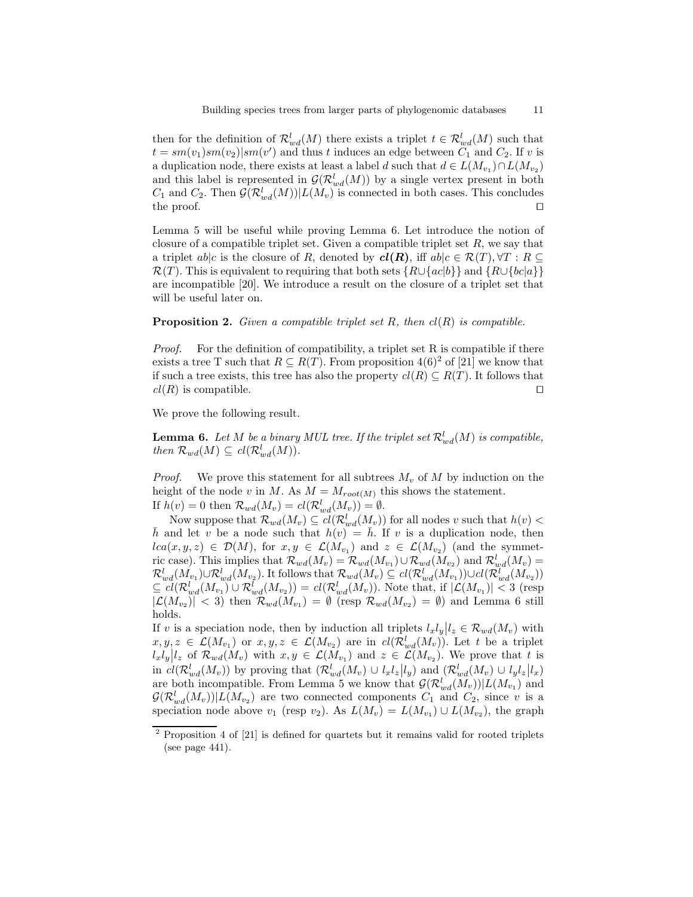then for the definition of  $\mathcal{R}^l_{wd}(M)$  there exists a triplet  $t \in \mathcal{R}^l_{wd}(M)$  such that  $t = sm(v_1)sm(v_2)|sm(v')$  and thus t induces an edge between  $C_1$  and  $C_2$ . If v is a duplication node, there exists at least a label d such that  $d \in L(M_{v_1}) \cap L(M_{v_2})$ and this label is represented in  $\mathcal{G}(\mathcal{R}^l_{wd}(M))$  by a single vertex present in both  $C_1$  and  $C_2$ . Then  $\mathcal{G}(\mathcal{R}^l_{wd}(M))|L(M_v)$  is connected in both cases. This concludes the proof. □

Lemma 5 will be useful while proving Lemma 6. Let introduce the notion of closure of a compatible triplet set. Given a compatible triplet set  $R$ , we say that a triplet ab|c is the closure of R, denoted by  $\mathbf{cl}(R)$ , iff  $ab|c \in \mathcal{R}(T), \forall T : R \subseteq$  $\mathcal{R}(T)$ . This is equivalent to requiring that both sets  $\{R\cup \{ac|b\}\}\$ and  $\{R\cup \{bc|a\}\}\$ are incompatible [20]. We introduce a result on the closure of a triplet set that will be useful later on.

### **Proposition 2.** Given a compatible triplet set R, then  $cl(R)$  is compatible.

Proof. For the definition of compatibility, a triplet set R is compatible if there exists a tree T such that  $R \subseteq R(T)$ . From proposition 4(6)<sup>2</sup> of [21] we know that if such a tree exists, this tree has also the property  $cl(R) \subseteq R(T)$ . It follows that  $cl(R)$  is compatible. □

We prove the following result.

**Lemma 6.** Let M be a binary MUL tree. If the triplet set  $\mathcal{R}_{wd}^l(M)$  is compatible, then  $\mathcal{R}_{wd}(M) \subseteq cl(\mathcal{R}_{wd}^l(M)).$ 

*Proof.* We prove this statement for all subtrees  $M_v$  of M by induction on the height of the node v in M. As  $M = M_{root(M)}$  this shows the statement.

If  $h(v) = 0$  then  $\mathcal{R}_{wd}(M_v) = cl(\mathcal{R}_{wd}^l(M_v)) = \emptyset$ .

Now suppose that  $\mathcal{R}_{wd}(M_v) \subseteq \text{cl}(\mathcal{R}^l_{wd}(M_v))$  for all nodes v such that  $h(v)$  <  $\bar{h}$  and let v be a node such that  $h(v) = \bar{h}$ . If v is a duplication node, then  $lca(x, y, z) \in \mathcal{D}(M)$ , for  $x, y \in \mathcal{L}(M_{v_1})$  and  $z \in \mathcal{L}(M_{v_2})$  (and the symmetric case). This implies that  $\mathcal{R}_{wd}(M_v) = \mathcal{R}_{wd}(M_{v_1}) \cup \mathcal{R}_{wd}(M_{v_2})$  and  $\mathcal{R}_{wd}^l(M_v) =$  $\mathcal{R}_{wd}^l(M_{v_1}) \cup \mathcal{R}_{wd}^l(M_{v_2})$ . It follows that  $\mathcal{R}_{wd}(M_v) \subseteq cl(\mathcal{R}_{wd}^l(M_{v_1})) \cup cl(\mathcal{R}_{wd}^l(M_{v_2}))$  $\subseteq \overline{cl(R_{wd}^l(M_{v_1})} \cup R_{wd}^l(M_{v_2})) = \overline{cl(R_{wd}^l(M_v))}$ . Note that, if  $|\mathcal{L}(M_{v_1})| < 3$  (resp  $|\mathcal{L}(M_{v_2})| < 3$  then  $\mathcal{R}_{wd}(M_{v_1}) = \emptyset$  (resp  $\mathcal{R}_{wd}(M_{v_2}) = \emptyset$ ) and Lemma 6 still holds.

If v is a speciation node, then by induction all triplets  $l_x l_y | l_z \in \mathcal{R}_{wd}(M_v)$  with  $x, y, z \in \mathcal{L}(M_{v_1})$  or  $x, y, z \in \mathcal{L}(M_{v_2})$  are in  $cl(\mathcal{R}^l_{wd}(M_v))$ . Let t be a triplet  $l_x l_y | l_z$  of  $\mathcal{R}_{wd}(M_v)$  with  $x, y \in \mathcal{L}(M_{v_1})$  and  $z \in \mathcal{L}(M_{v_2})$ . We prove that t is in  $cl(\mathcal{R}_{wd}^l(M_v))$  by proving that  $(\mathcal{R}_{wd}^l(M_v) \cup l_x l_z | l_y)$  and  $(\mathcal{R}_{wd}^l(M_v) \cup l_y l_z | l_x)$ are both incompatible. From Lemma 5 we know that  $\mathcal{G}(\mathcal{R}^l_{wd}(\bar{M}_v))|L(M_{v_1})$  and  $\mathcal{G}(\mathcal{R}^l_{wd}(M_v))|L(M_{v_2})$  are two connected components  $C_1$  and  $C_2$ , since v is a speciation node above  $v_1$  (resp  $v_2$ ). As  $L(M_v) = L(M_{v_1}) \cup L(M_{v_2})$ , the graph

<sup>2</sup> Proposition 4 of [21] is defined for quartets but it remains valid for rooted triplets (see page 441).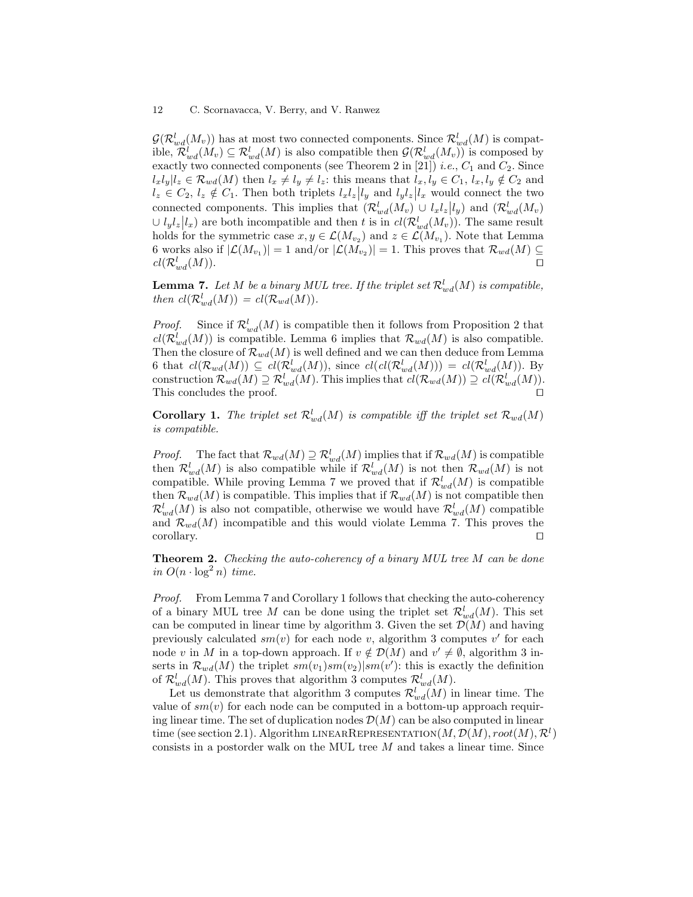$\mathcal{G}(\mathcal{R}^l_{wd}(M_v))$  has at most two connected components. Since  $\mathcal{R}^l_{wd}(M)$  is compatible,  $\mathcal{R}^l_{wd}(M_v) \subseteq \mathcal{R}^l_{wd}(M)$  is also compatible then  $\mathcal{G}(\mathcal{R}^l_{wd}(M_v))$  is composed by exactly two connected components (see Theorem 2 in [21]) *i.e.*,  $C_1$  and  $C_2$ . Since  $l_xl_y|l_z \in \mathcal{R}_{wd}(M)$  then  $l_x \neq l_y \neq l_z$ : this means that  $l_x, l_y \in C_1$ ,  $l_x, l_y \notin C_2$  and  $l_z \in C_2$ ,  $l_z \notin C_1$ . Then both triplets  $l_x l_z | l_y$  and  $l_y l_z | l_x$  would connect the two connected components. This implies that  $(\mathcal{R}_{wd}^l(M_v) \cup l_x l_z | l_y)$  and  $(\mathcal{R}_{wd}^l(M_v))$  $\cup l_y l_z | l_x$  are both incompatible and then t is in  $cl(\mathcal{R}_{wd}^l(M_v))$ . The same result holds for the symmetric case  $x, y \in \mathcal{L}(M_{v_2})$  and  $z \in \mathcal{L}(M_{v_1})$ . Note that Lemma 6 works also if  $|\mathcal{L}(M_{v_1})|=1$  and/or  $|\mathcal{L}(M_{v_2})|=1$ . This proves that  $\mathcal{R}_{wd}(M) \subseteq$  $cl(\mathcal{R}^l_{wd}(M)).$  $\bigcup_{w,d}(M)\big).$ 

**Lemma 7.** Let M be a binary MUL tree. If the triplet set  $\mathcal{R}_{wd}^l(M)$  is compatible, then  $cl(\mathcal{R}^l_{wd}(M)) = cl(\mathcal{R}_{wd}(M)).$ 

*Proof.* Since if  $\mathcal{R}_{wd}^l(M)$  is compatible then it follows from Proposition 2 that  $cl(\mathcal{R}^l_{wd}(M))$  is compatible. Lemma 6 implies that  $\mathcal{R}_{wd}(M)$  is also compatible. Then the closure of  $\mathcal{R}_{wd}(M)$  is well defined and we can then deduce from Lemma 6 that  $cl(\mathcal{R}_{wd}(M)) \subseteq cl(\mathcal{R}_{wd}^l(M))$ , since  $cl(cl(\mathcal{R}_{wd}^l(M))) = cl(\mathcal{R}_{wd}^l(M))$ . By construction  $\mathcal{R}_{wd}(M) \supseteq \mathcal{R}_{wd}^l(M)$ . This implies that  $cl(\mathcal{R}_{wd}(M)) \supseteq cl(\mathcal{R}_{wd}^l(M))$ . This concludes the proof. □

**Corollary 1.** The triplet set  $\mathcal{R}_{wd}^l(M)$  is compatible iff the triplet set  $\mathcal{R}_{wd}(M)$ is compatible.

*Proof.* The fact that  $\mathcal{R}_{wd}(M) \supseteq \mathcal{R}_{wd}^l(M)$  implies that if  $\mathcal{R}_{wd}(M)$  is compatible then  $\mathcal{R}^l_{wd}(M)$  is also compatible while if  $\mathcal{R}^l_{wd}(M)$  is not then  $\mathcal{R}_{wd}(M)$  is not compatible. While proving Lemma 7 we proved that if  $\mathcal{R}_{wd}^l(M)$  is compatible then  $\mathcal{R}_{wd}(M)$  is compatible. This implies that if  $\mathcal{R}_{wd}(M)$  is not compatible then  $\mathcal{R}^l_{wd}(M)$  is also not compatible, otherwise we would have  $\mathcal{R}^l_{wd}(M)$  compatible and  $\mathcal{R}_{wd}(M)$  incompatible and this would violate Lemma 7. This proves the corollary. ⊓⊔

Theorem 2. Checking the auto-coherency of a binary MUL tree M can be done in  $O(n \cdot \log^2 n)$  time.

Proof. From Lemma 7 and Corollary 1 follows that checking the auto-coherency of a binary MUL tree M can be done using the triplet set  $\mathcal{R}^l_{wd}(M)$ . This set can be computed in linear time by algorithm 3. Given the set  $\mathcal{D}(M)$  and having previously calculated  $sm(v)$  for each node v, algorithm 3 computes v' for each node v in M in a top-down approach. If  $v \notin \mathcal{D}(M)$  and  $v' \neq \emptyset$ , algorithm 3 inserts in  $\mathcal{R}_{wd}(M)$  the triplet  $sm(v_1)sm(v_2)|sm(v')$ : this is exactly the definition of  $\mathcal{R}^l_{wd}(M)$ . This proves that algorithm 3 computes  $\mathcal{R}^l_{wd}(M)$ .

Let us demonstrate that algorithm 3 computes  $\mathcal{R}^l_{wd}(M)$  in linear time. The value of  $sm(v)$  for each node can be computed in a bottom-up approach requiring linear time. The set of duplication nodes  $\mathcal{D}(M)$  can be also computed in linear time (see section 2.1). Algorithm LINEAR REPRESENTATION  $(M, \mathcal{D}(M), root(M), \mathcal{R}^l)$ consists in a postorder walk on the MUL tree  $M$  and takes a linear time. Since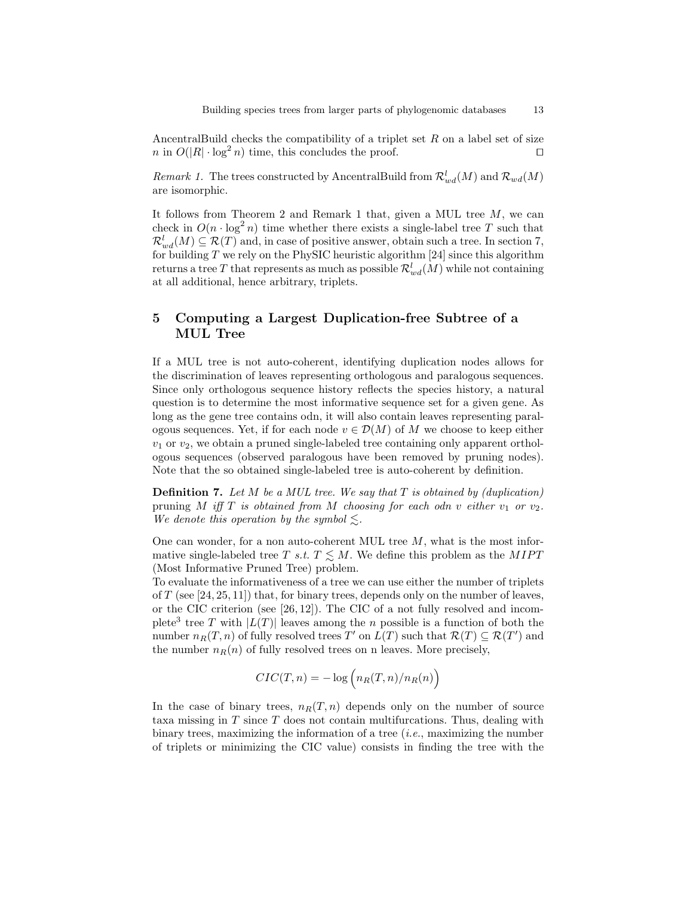AncentralBuild checks the compatibility of a triplet set  $R$  on a label set of size  $n \in O(|R| \cdot \log^2 n)$  time, this concludes the proof. □

Remark 1. The trees constructed by AncentralBuild from  $\mathcal{R}^l_{wd}(M)$  and  $\mathcal{R}_{wd}(M)$ are isomorphic.

It follows from Theorem 2 and Remark 1 that, given a MUL tree  $M$ , we can check in  $O(n \cdot \log^2 n)$  time whether there exists a single-label tree T such that  $\mathcal{R}^l_{wd}(M) \subseteq \mathcal{R}(T)$  and, in case of positive answer, obtain such a tree. In section 7, for building  $T$  we rely on the PhySIC heuristic algorithm [24] since this algorithm returns a tree  $T$  that represents as much as possible  $\mathcal{R}^l_{wd}(M)$  while not containing at all additional, hence arbitrary, triplets.

# 5 Computing a Largest Duplication-free Subtree of a MUL Tree

If a MUL tree is not auto-coherent, identifying duplication nodes allows for the discrimination of leaves representing orthologous and paralogous sequences. Since only orthologous sequence history reflects the species history, a natural question is to determine the most informative sequence set for a given gene. As long as the gene tree contains odn, it will also contain leaves representing paralogous sequences. Yet, if for each node  $v \in \mathcal{D}(M)$  of M we choose to keep either  $v_1$  or  $v_2$ , we obtain a pruned single-labeled tree containing only apparent orthologous sequences (observed paralogous have been removed by pruning nodes). Note that the so obtained single-labeled tree is auto-coherent by definition.

**Definition 7.** Let  $M$  be a MUL tree. We say that  $T$  is obtained by (duplication) pruning M iff T is obtained from M choosing for each odn v either  $v_1$  or  $v_2$ . We denote this operation by the symbol  $\leq$ .

One can wonder, for a non auto-coherent MUL tree  $M$ , what is the most informative single-labeled tree T s.t.  $T \leq M$ . We define this problem as the MIPT (Most Informative Pruned Tree) problem.

To evaluate the informativeness of a tree we can use either the number of triplets of  $T$  (see [24, 25, 11]) that, for binary trees, depends only on the number of leaves, or the CIC criterion (see [26, 12]). The CIC of a not fully resolved and incomplete<sup>3</sup> tree T with  $|L(T)|$  leaves among the n possible is a function of both the number  $n_R(T, n)$  of fully resolved trees T' on  $L(T)$  such that  $\mathcal{R}(T) \subseteq \mathcal{R}(T')$  and the number  $n_R(n)$  of fully resolved trees on n leaves. More precisely,

$$
CIC(T, n) = -\log\left(n_R(T, n)/n_R(n)\right)
$$

In the case of binary trees,  $n_R(T, n)$  depends only on the number of source taxa missing in T since T does not contain multifurcations. Thus, dealing with binary trees, maximizing the information of a tree  $(i.e.,$  maximizing the number of triplets or minimizing the CIC value) consists in finding the tree with the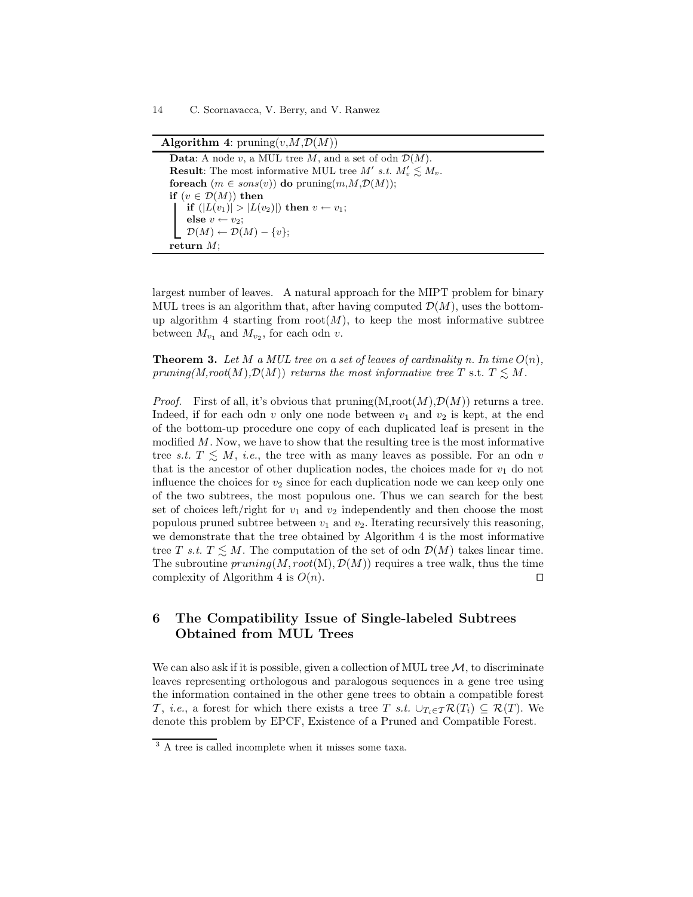| <b>Algorithm 4:</b> pruning $(v, M, \mathcal{D}(M))$                     |
|--------------------------------------------------------------------------|
| <b>Data:</b> A node v, a MUL tree M, and a set of odn $\mathcal{D}(M)$ . |
| <b>Result:</b> The most informative MUL tree M' s.t. $M_v \leq M_v$ .    |
| for each $(m \in sons(v))$ do pruning $(m,M,\mathcal{D}(M))$ ;           |
| if $(v \in \mathcal{D}(M))$ then                                         |
| if $( L(v_1)  >  L(v_2) )$ then $v \leftarrow v_1$ ;                     |
| else $v \leftarrow v_2$ ;                                                |
| $\left  \quad \mathcal{D}(M) \leftarrow \mathcal{D}(M) - \{v\};\right.$  |
| return $M$ :                                                             |

largest number of leaves. A natural approach for the MIPT problem for binary MUL trees is an algorithm that, after having computed  $\mathcal{D}(M)$ , uses the bottomup algorithm 4 starting from  $root(M)$ , to keep the most informative subtree between  $M_{v_1}$  and  $M_{v_2}$ , for each odn v.

**Theorem 3.** Let M a MUL tree on a set of leaves of cardinality n. In time  $O(n)$ , pruning(M,root(M), $\mathcal{D}(M)$ ) returns the most informative tree T s.t.  $T \leq M$ .

*Proof.* First of all, it's obvious that  $\text{pruning}(M,\text{root}(M),\mathcal{D}(M))$  returns a tree. Indeed, if for each odn v only one node between  $v_1$  and  $v_2$  is kept, at the end of the bottom-up procedure one copy of each duplicated leaf is present in the modified  $M$ . Now, we have to show that the resulting tree is the most informative tree s.t.  $T \leq M$ , i.e., the tree with as many leaves as possible. For an odn v that is the ancestor of other duplication nodes, the choices made for  $v_1$  do not influence the choices for  $v_2$  since for each duplication node we can keep only one of the two subtrees, the most populous one. Thus we can search for the best set of choices left/right for  $v_1$  and  $v_2$  independently and then choose the most populous pruned subtree between  $v_1$  and  $v_2$ . Iterating recursively this reasoning, we demonstrate that the tree obtained by Algorithm 4 is the most informative tree T s.t.  $T \leq M$ . The computation of the set of odn  $\mathcal{D}(M)$  takes linear time. The subroutine  $pruning(M, root(M), D(M))$  requires a tree walk, thus the time complexity of Algorithm 4 is  $O(n)$ . □

# 6 The Compatibility Issue of Single-labeled Subtrees Obtained from MUL Trees

We can also ask if it is possible, given a collection of MUL tree  $M$ , to discriminate leaves representing orthologous and paralogous sequences in a gene tree using the information contained in the other gene trees to obtain a compatible forest T, i.e., a forest for which there exists a tree T s.t.  $\cup_{T_i\in\mathcal{T}}\mathcal{R}(T_i)\subseteq\mathcal{R}(T)$ . We denote this problem by EPCF, Existence of a Pruned and Compatible Forest.

<sup>3</sup> A tree is called incomplete when it misses some taxa.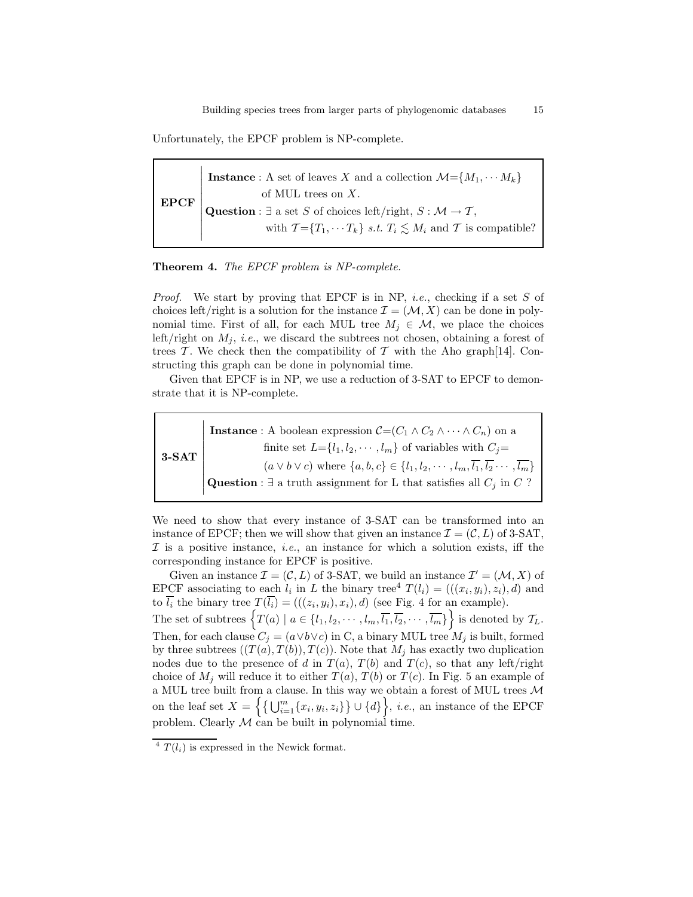Unfortunately, the EPCF problem is NP-complete.

EPCF  $\overline{\phantom{a}}$  $\overline{\phantom{a}}$  $\overline{\phantom{a}}$  $\overline{\phantom{a}}$  $\overline{\phantom{a}}$  $\overline{\phantom{a}}$  $\overline{\phantom{a}}$ I  $\overline{\phantom{a}}$  $\overline{\phantom{a}}$  $\overline{\phantom{a}}$ **Instance**: A set of leaves X and a collection  $\mathcal{M} = \{M_1, \cdots, M_k\}$ of MUL trees on X. Question :  $\exists$  a set S of choices left/right,  $S : \mathcal{M} \to \mathcal{T}$ , with  $\mathcal{T} = \{T_1, \cdots T_k\}$  s.t.  $T_i \leq M_i$  and  $\mathcal{T}$  is compatible?

### Theorem 4. The EPCF problem is NP-complete.

*Proof.* We start by proving that EPCF is in NP, *i.e.*, checking if a set  $S$  of choices left/right is a solution for the instance  $\mathcal{I} = (\mathcal{M}, X)$  can be done in polynomial time. First of all, for each MUL tree  $M_i \in \mathcal{M}$ , we place the choices left/right on  $M_i$ , *i.e.*, we discard the subtrees not chosen, obtaining a forest of trees T. We check then the compatibility of T with the Aho graph[14]. Constructing this graph can be done in polynomial time.

Given that EPCF is in NP, we use a reduction of 3-SAT to EPCF to demonstrate that it is NP-complete.

3-SAT

 $\overline{\phantom{a}}$  $\overline{\phantom{a}}$  $\overline{\phantom{a}}$  $\overline{\phantom{a}}$  $\overline{\phantom{a}}$  $\overline{\phantom{a}}$  $\overline{\phantom{a}}$  $\overline{\phantom{a}}$  $\overline{\phantom{a}}$  $\overline{\phantom{a}}$  $\overline{\phantom{a}}$ **Instance** : A boolean expression  $C=(C_1 \wedge C_2 \wedge \cdots \wedge C_n)$  on a finite set  $L = \{l_1, l_2, \dots, l_m\}$  of variables with  $C_i =$  $(a \vee b \vee c)$  where  $\{a, b, c\} \in \{l_1, l_2, \cdots, l_m, \overline{l_1}, \overline{l_2} \cdots, \overline{l_m}\}$ Question :  $\exists$  a truth assignment for L that satisfies all  $C_j$  in C ?

We need to show that every instance of 3-SAT can be transformed into an instance of EPCF; then we will show that given an instance  $\mathcal{I} = (\mathcal{C}, L)$  of 3-SAT,  $I$  is a positive instance, *i.e.*, an instance for which a solution exists, iff the corresponding instance for EPCF is positive.

Given an instance  $\mathcal{I} = (\mathcal{C}, L)$  of 3-SAT, we build an instance  $\mathcal{I}' = (\mathcal{M}, X)$  of EPCF associating to each  $l_i$  in L the binary tree<sup>4</sup>  $T(l_i) = (((x_i, y_i), z_i), d)$  and to  $l_i$  the binary tree  $T(l_i) = (((z_i, y_i), x_i), d)$  (see Fig. 4 for an example). The set of subtrees  $\{T(a) \mid a \in \{l_1, l_2, \cdots, l_m, \overline{l_1}, \overline{l_2}, \cdots, \overline{l_m}\}\}\$ is denoted by  $\mathcal{T}_L$ . Then, for each clause  $C_j = (a \vee b \vee c)$  in C, a binary MUL tree  $M_j$  is built, formed by three subtrees  $((T(a), T(b)), T(c))$ . Note that  $M_j$  has exactly two duplication

nodes due to the presence of d in  $T(a)$ ,  $T(b)$  and  $T(c)$ , so that any left/right choice of  $M_j$  will reduce it to either  $T(a)$ ,  $T(b)$  or  $T(c)$ . In Fig. 5 an example of a MUL tree built from a clause. In this way we obtain a forest of MUL trees  ${\mathcal M}$ on the leaf set  $X = \left\{ \left\{ \bigcup_{i=1}^{m} \{x_i, y_i, z_i\} \right\} \cup \{d\} \right\}, i.e.,$  an instance of the EPCF problem. Clearly  $M$  can be built in polynomial time.

 $4 T(l_i)$  is expressed in the Newick format.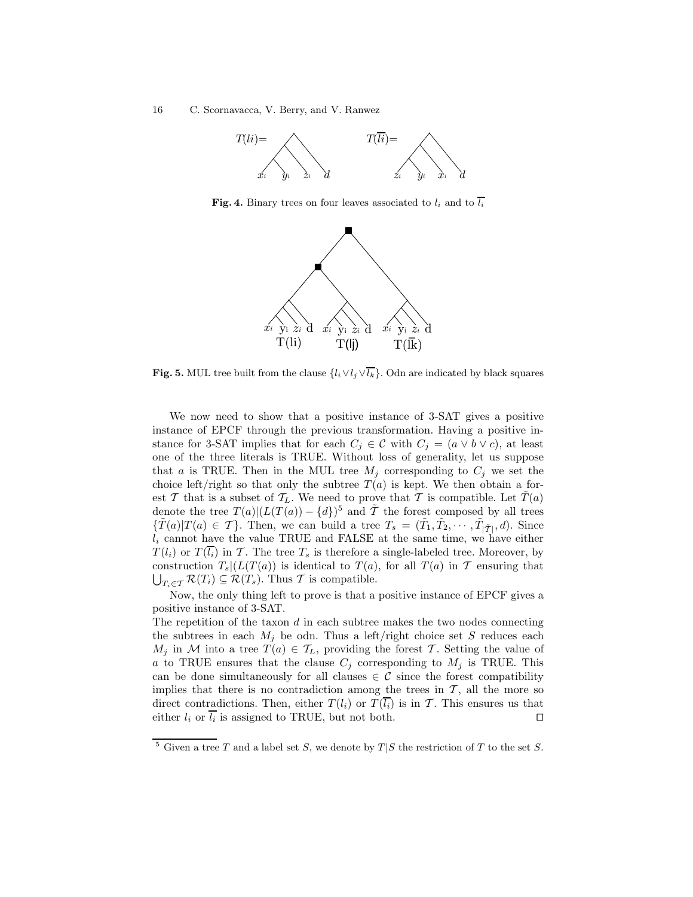

Fig. 4. Binary trees on four leaves associated to  $l_i$  and to  $\overline{l_i}$ 



Fig. 5. MUL tree built from the clause  $\{l_i \vee l_j \vee \overline{l_k}\}\)$ . Odn are indicated by black squares

We now need to show that a positive instance of 3-SAT gives a positive instance of EPCF through the previous transformation. Having a positive instance for 3-SAT implies that for each  $C_j \in \mathcal{C}$  with  $C_j = (a \vee b \vee c)$ , at least one of the three literals is TRUE. Without loss of generality, let us suppose that a is TRUE. Then in the MUL tree  $M_j$  corresponding to  $C_j$  we set the choice left/right so that only the subtree  $T(a)$  is kept. We then obtain a forest T that is a subset of  $T_L$ . We need to prove that T is compatible. Let  $\hat{T}(a)$ denote the tree  $T(a)|(L(T(a)) - \{d\})^5$  and  $\tilde{T}$  the forest composed by all trees  ${\lbrace \tilde{T}(a) | T(a) \in \mathcal{T} \rbrace}$ . Then, we can build a tree  $T_s = (\tilde{T}_1, \tilde{T}_2, \cdots, \tilde{T}_{|\tilde{\mathcal{T}}|}, d)$ . Since  $l_i$  cannot have the value TRUE and FALSE at the same time, we have either  $T(l_i)$  or  $T(\overline{l_i})$  in T. The tree  $T_s$  is therefore a single-labeled tree. Moreover, by construction  $T_s(L(T(a))$  is identical to  $T(a)$ , for all  $T(a)$  in  $\mathcal T$  ensuring that  $\bigcup_{T_i \in \mathcal{T}} \mathcal{R}(T_i) \subseteq \mathcal{R}(T_s)$ . Thus  $\mathcal{T}$  is compatible.

Now, the only thing left to prove is that a positive instance of EPCF gives a positive instance of 3-SAT.

The repetition of the taxon  $d$  in each subtree makes the two nodes connecting the subtrees in each  $M_i$  be odn. Thus a left/right choice set S reduces each  $M_j$  in M into a tree  $T(a) \in \mathcal{T}_L$ , providing the forest T. Setting the value of a to TRUE ensures that the clause  $C_j$  corresponding to  $M_j$  is TRUE. This can be done simultaneously for all clauses  $\in \mathcal{C}$  since the forest compatibility implies that there is no contradiction among the trees in  $\mathcal{T}$ , all the more so direct contradictions. Then, either  $T(l_i)$  or  $T(\overline{l_i})$  is in T. This ensures us that either  $l_i$  or  $l_i$  is assigned to TRUE, but not both. □

<sup>&</sup>lt;sup>5</sup> Given a tree T and a label set S, we denote by  $T|S$  the restriction of T to the set S.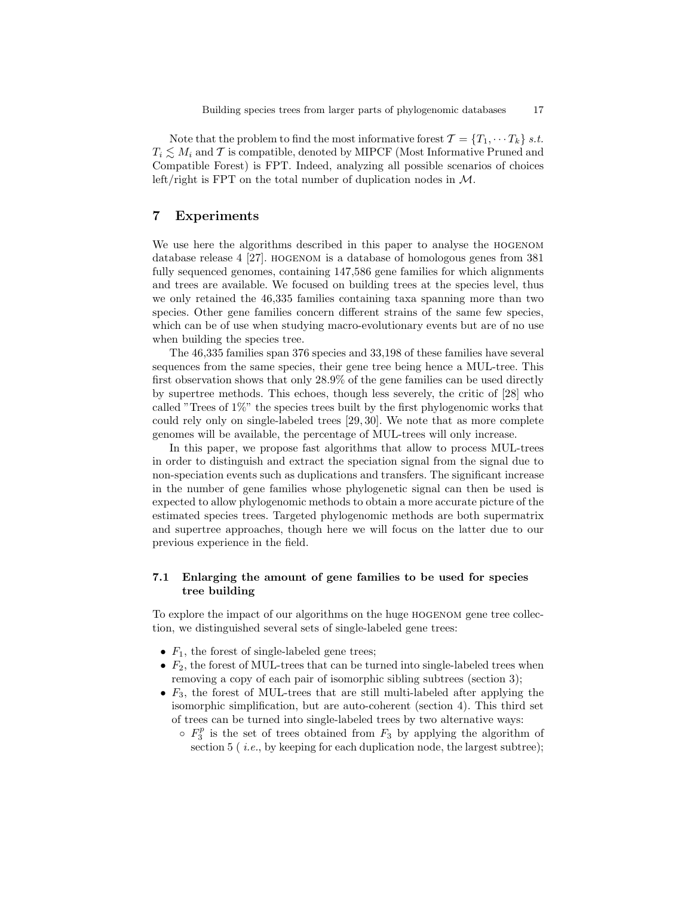Note that the problem to find the most informative forest  $\mathcal{T} = \{T_1, \dots T_k\}$  s.t.  $T_i \lesssim M_i$  and T is compatible, denoted by MIPCF (Most Informative Pruned and Compatible Forest) is FPT. Indeed, analyzing all possible scenarios of choices left/right is FPT on the total number of duplication nodes in M.

# 7 Experiments

We use here the algorithms described in this paper to analyse the hogenom database release 4 [27]. HOGENOM is a database of homologous genes from 381 fully sequenced genomes, containing 147,586 gene families for which alignments and trees are available. We focused on building trees at the species level, thus we only retained the 46,335 families containing taxa spanning more than two species. Other gene families concern different strains of the same few species, which can be of use when studying macro-evolutionary events but are of no use when building the species tree.

The 46,335 families span 376 species and 33,198 of these families have several sequences from the same species, their gene tree being hence a MUL-tree. This first observation shows that only 28.9% of the gene families can be used directly by supertree methods. This echoes, though less severely, the critic of [28] who called "Trees of 1%" the species trees built by the first phylogenomic works that could rely only on single-labeled trees [29, 30]. We note that as more complete genomes will be available, the percentage of MUL-trees will only increase.

In this paper, we propose fast algorithms that allow to process MUL-trees in order to distinguish and extract the speciation signal from the signal due to non-speciation events such as duplications and transfers. The significant increase in the number of gene families whose phylogenetic signal can then be used is expected to allow phylogenomic methods to obtain a more accurate picture of the estimated species trees. Targeted phylogenomic methods are both supermatrix and supertree approaches, though here we will focus on the latter due to our previous experience in the field.

## 7.1 Enlarging the amount of gene families to be used for species tree building

To explore the impact of our algorithms on the huge hogenom gene tree collection, we distinguished several sets of single-labeled gene trees:

- $F_1$ , the forest of single-labeled gene trees;
- $F_2$ , the forest of MUL-trees that can be turned into single-labeled trees when removing a copy of each pair of isomorphic sibling subtrees (section 3);
- $F_3$ , the forest of MUL-trees that are still multi-labeled after applying the isomorphic simplification, but are auto-coherent (section 4). This third set of trees can be turned into single-labeled trees by two alternative ways:
	- $\circ$   $F_3^p$  is the set of trees obtained from  $F_3$  by applying the algorithm of section  $5$  (*i.e.*, by keeping for each duplication node, the largest subtree);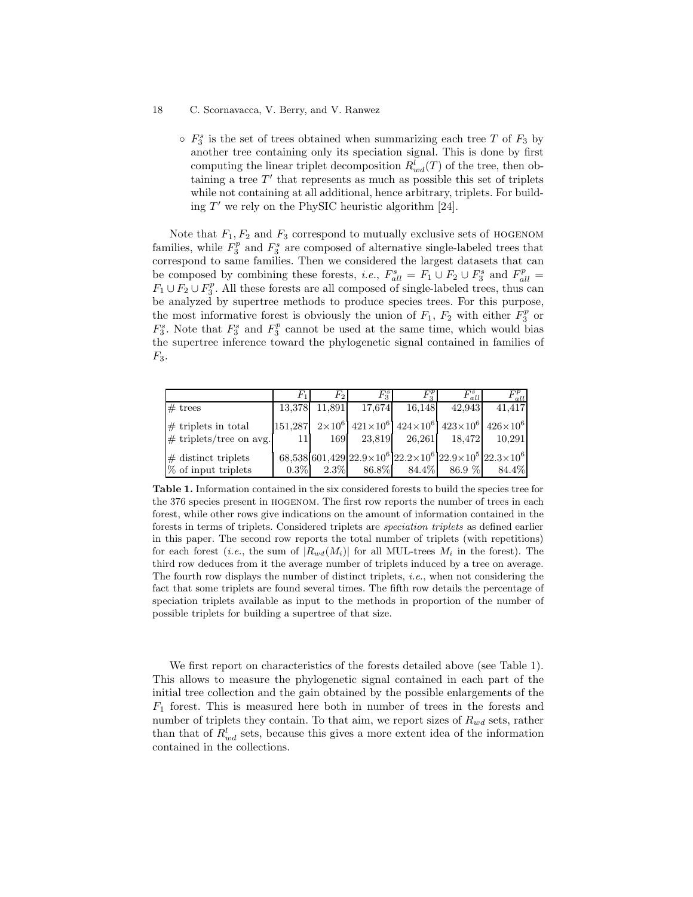$\circ$   $F_3^s$  is the set of trees obtained when summarizing each tree T of  $F_3$  by another tree containing only its speciation signal. This is done by first computing the linear triplet decomposition  $R_{wd}^l(T)$  of the tree, then obtaining a tree  $T'$  that represents as much as possible this set of triplets while not containing at all additional, hence arbitrary, triplets. For building T ′ we rely on the PhySIC heuristic algorithm [24].

Note that  $F_1, F_2$  and  $F_3$  correspond to mutually exclusive sets of HOGENOM families, while  $F_3^p$  and  $F_3^s$  are composed of alternative single-labeled trees that correspond to same families. Then we considered the largest datasets that can be composed by combining these forests, *i.e.*,  $F_{all}^s = F_1 \cup F_2 \cup F_3^s$  and  $F_{all}^p =$  $F_1 \cup F_2 \cup F_3^p$ . All these forests are all composed of single-labeled trees, thus can be analyzed by supertree methods to produce species trees. For this purpose, the most informative forest is obviously the union of  $F_1$ ,  $F_2$  with either  $\overline{F_3^p}$  or  $F_3^s$ . Note that  $F_3^s$  and  $F_3^p$  cannot be used at the same time, which would bias the supertree inference toward the phylogenetic signal contained in families of  $F_3$ .

|                                                      | $F_{1}$        | $F_2$   | $F_3^s$  | $F^{\nu}_{\circ}$    | $F_{all}^s$ | $F_{all}^p$                                                                                             |
|------------------------------------------------------|----------------|---------|----------|----------------------|-------------|---------------------------------------------------------------------------------------------------------|
| $#$ trees                                            | 13,378         | 11,891  | 17,674   | 16,148               | 42,943      | 41.417                                                                                                  |
| $\#$ triplets in total<br>$\#$ triplets/tree on avg. | 151.287<br>111 | 169     |          | 23,819 26,261 18,472 |             | $2\times10^6$ 421×10 <sup>6</sup> 424×10 <sup>6</sup> 423×10 <sup>6</sup> 426×10 <sup>6</sup><br>10,291 |
| $\#$ distinct triplets<br>$%$ of input triplets      | $0.3\%$        | $2.3\%$ | $86.8\%$ | 84.4%                | $86.9\ \%$  | 68,538 601,429 $22.9 \times 10^6$ $22.2 \times 10^6$ $22.9 \times 10^5$ $22.3 \times 10^6$<br>84.4%     |

Table 1. Information contained in the six considered forests to build the species tree for the 376 species present in hogenom. The first row reports the number of trees in each forest, while other rows give indications on the amount of information contained in the forests in terms of triplets. Considered triplets are speciation triplets as defined earlier in this paper. The second row reports the total number of triplets (with repetitions) for each forest (*i.e.*, the sum of  $|R_{wd}(M_i)|$  for all MUL-trees  $M_i$  in the forest). The third row deduces from it the average number of triplets induced by a tree on average. The fourth row displays the number of distinct triplets, i.e., when not considering the fact that some triplets are found several times. The fifth row details the percentage of speciation triplets available as input to the methods in proportion of the number of possible triplets for building a supertree of that size.

We first report on characteristics of the forests detailed above (see Table 1). This allows to measure the phylogenetic signal contained in each part of the initial tree collection and the gain obtained by the possible enlargements of the  $F_1$  forest. This is measured here both in number of trees in the forests and number of triplets they contain. To that aim, we report sizes of  $R_{wd}$  sets, rather than that of  $R_{wd}^l$  sets, because this gives a more extent idea of the information contained in the collections.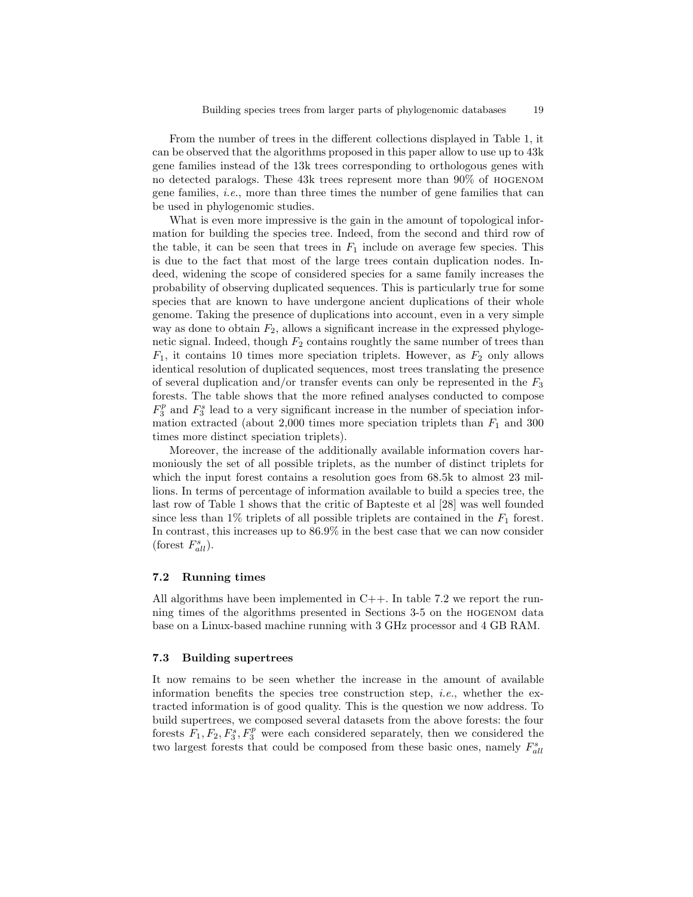From the number of trees in the different collections displayed in Table 1, it can be observed that the algorithms proposed in this paper allow to use up to 43k gene families instead of the 13k trees corresponding to orthologous genes with no detected paralogs. These 43k trees represent more than 90% of hogenom gene families, i.e., more than three times the number of gene families that can be used in phylogenomic studies.

What is even more impressive is the gain in the amount of topological information for building the species tree. Indeed, from the second and third row of the table, it can be seen that trees in  $F_1$  include on average few species. This is due to the fact that most of the large trees contain duplication nodes. Indeed, widening the scope of considered species for a same family increases the probability of observing duplicated sequences. This is particularly true for some species that are known to have undergone ancient duplications of their whole genome. Taking the presence of duplications into account, even in a very simple way as done to obtain  $F_2$ , allows a significant increase in the expressed phylogenetic signal. Indeed, though  $F_2$  contains roughtly the same number of trees than  $F_1$ , it contains 10 times more speciation triplets. However, as  $F_2$  only allows identical resolution of duplicated sequences, most trees translating the presence of several duplication and/or transfer events can only be represented in the  $F_3$ forests. The table shows that the more refined analyses conducted to compose  $F_3^p$  and  $F_3^s$  lead to a very significant increase in the number of speciation information extracted (about 2,000 times more speciation triplets than  $F_1$  and 300 times more distinct speciation triplets).

Moreover, the increase of the additionally available information covers harmoniously the set of all possible triplets, as the number of distinct triplets for which the input forest contains a resolution goes from 68.5k to almost 23 millions. In terms of percentage of information available to build a species tree, the last row of Table 1 shows that the critic of Bapteste et al [28] was well founded since less than  $1\%$  triplets of all possible triplets are contained in the  $F_1$  forest. In contrast, this increases up to 86.9% in the best case that we can now consider (forest  $F_{all}^s$ ).

### 7.2 Running times

All algorithms have been implemented in  $C++$ . In table 7.2 we report the running times of the algorithms presented in Sections 3-5 on the hogenom data base on a Linux-based machine running with 3 GHz processor and 4 GB RAM.

### 7.3 Building supertrees

It now remains to be seen whether the increase in the amount of available information benefits the species tree construction step, *i.e.*, whether the extracted information is of good quality. This is the question we now address. To build supertrees, we composed several datasets from the above forests: the four forests  $F_1, F_2, F_3^s, F_3^p$  were each considered separately, then we considered the two largest forests that could be composed from these basic ones, namely  $F_{all}^s$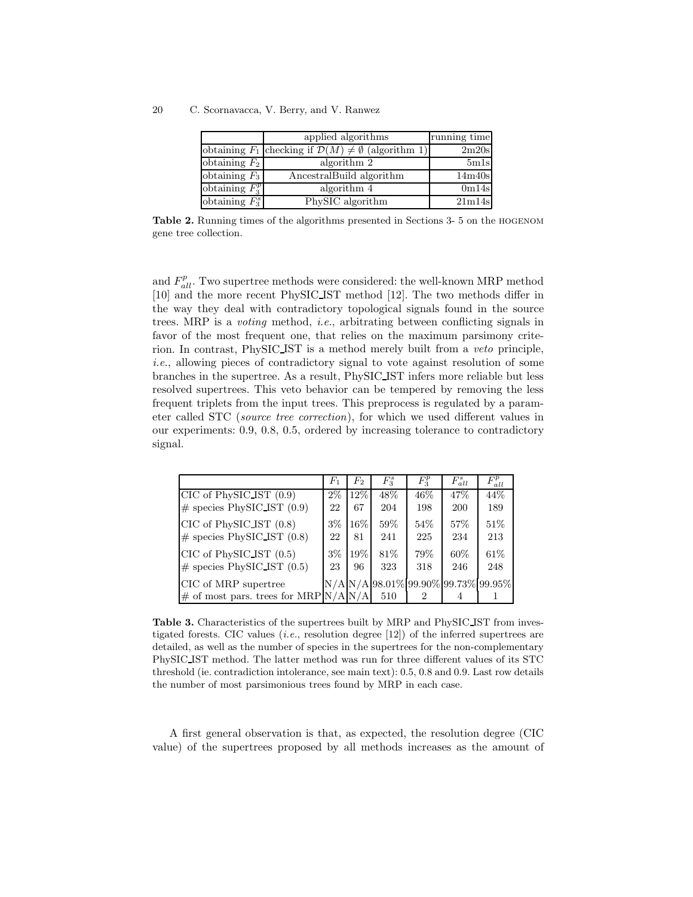|                   | applied algorithms                                                        | running time |
|-------------------|---------------------------------------------------------------------------|--------------|
|                   | obtaining $F_1$ checking if $\mathcal{D}(M) \neq \emptyset$ (algorithm 1) | 2m20s        |
| obtaining $F_2$   | algorithm 2                                                               | 5m1s         |
| obtaining $F_3$   | AncestralBuild algorithm                                                  | 14m40s       |
| obtaining $F_3^p$ | algorithm 4                                                               | 0m14s        |
| obtaining $F_3^s$ | PhySIC algorithm                                                          | 21m14s       |

Table 2. Running times of the algorithms presented in Sections 3- 5 on the hogenom gene tree collection.

and  $F_{all}^p$ . Two supertree methods were considered: the well-known MRP method [10] and the more recent PhySIC IST method [12]. The two methods differ in the way they deal with contradictory topological signals found in the source trees. MRP is a voting method, i.e., arbitrating between conflicting signals in favor of the most frequent one, that relies on the maximum parsimony criterion. In contrast, PhySIC IST is a method merely built from a veto principle, i.e., allowing pieces of contradictory signal to vote against resolution of some branches in the supertree. As a result, PhySIC IST infers more reliable but less resolved supertrees. This veto behavior can be tempered by removing the less frequent triplets from the input trees. This preprocess is regulated by a parameter called STC (source tree correction), for which we used different values in our experiments: 0.9, 0.8, 0.5, ordered by increasing tolerance to contradictory signal.

|                                                                  | $F_1$ | $F_2$  | $F^s_{\mathcal{P}}$ | $\overline{F_3^p}$ | $F_{all}^s$ | $F_{all}^{\overline{p}}$              |
|------------------------------------------------------------------|-------|--------|---------------------|--------------------|-------------|---------------------------------------|
| $\vert$ CIC of PhySIC IST $(0.9)$                                | $2\%$ | $12\%$ | 48%                 | $46\%$             | 47\%        | 44\%                                  |
| $\#$ species PhySIC IST (0.9)                                    | 22    | 67     | 204                 | 198                | <b>200</b>  | 189                                   |
| $CIC$ of PhySIC_IST $(0.8)$                                      | $3\%$ | $16\%$ | 59%                 | 54%                | 57%         | 51\%                                  |
| $\#$ species PhySIC_IST (0.8)                                    | 22    | 81     | 241                 | 225                | 234         | 213                                   |
| CIC of PhySIC IST (0.5)                                          | $3\%$ | 19%    | 81\%                | 79%                | $60\%$      | 61%                                   |
| $\#$ species PhySIC IST (0.5)                                    | 23    | 96     | 323                 | 318                | 246         | 248                                   |
| CIC of MRP supertree<br>$\#$ of most pars. trees for MRP N/A N/A |       |        | 510                 | 2                  |             | $N/A$ N/A 98.01% 99.90% 99.73% 99.95% |

Table 3. Characteristics of the supertrees built by MRP and PhySIC IST from investigated forests. CIC values (*i.e.*, resolution degree  $[12]$ ) of the inferred supertrees are detailed, as well as the number of species in the supertrees for the non-complementary PhySIC IST method. The latter method was run for three different values of its STC threshold (ie. contradiction intolerance, see main text): 0.5, 0.8 and 0.9. Last row details the number of most parsimonious trees found by MRP in each case.

A first general observation is that, as expected, the resolution degree (CIC value) of the supertrees proposed by all methods increases as the amount of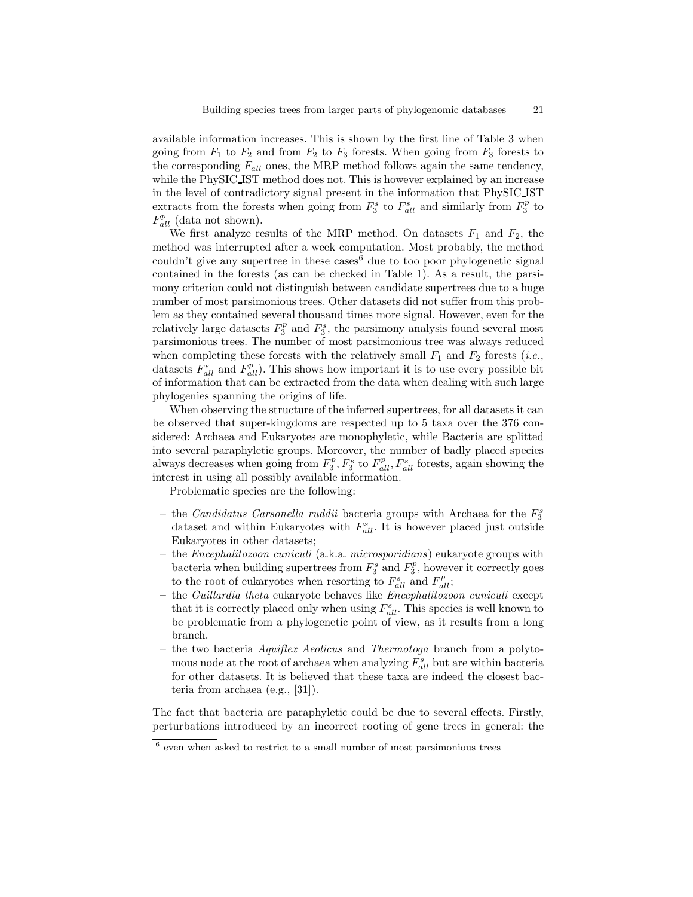available information increases. This is shown by the first line of Table 3 when going from  $F_1$  to  $F_2$  and from  $F_2$  to  $F_3$  forests. When going from  $F_3$  forests to the corresponding  $F_{all}$  ones, the MRP method follows again the same tendency, while the PhySIC IST method does not. This is however explained by an increase in the level of contradictory signal present in the information that PhySIC IST extracts from the forests when going from  $F_3^s$  to  $F_{all}^s$  and similarly from  $F_3^p$  to  $F_{all}^{p}$  (data not shown).

We first analyze results of the MRP method. On datasets  $F_1$  and  $F_2$ , the method was interrupted after a week computation. Most probably, the method couldn't give any supertree in these cases $<sup>6</sup>$  due to too poor phylogenetic signal</sup> contained in the forests (as can be checked in Table 1). As a result, the parsimony criterion could not distinguish between candidate supertrees due to a huge number of most parsimonious trees. Other datasets did not suffer from this problem as they contained several thousand times more signal. However, even for the relatively large datasets  $F_3^p$  and  $F_3^s$ , the parsimony analysis found several most parsimonious trees. The number of most parsimonious tree was always reduced when completing these forests with the relatively small  $F_1$  and  $F_2$  forests (*i.e.*, datasets  $F_{all}^s$  and  $F_{all}^p$ ). This shows how important it is to use every possible bit of information that can be extracted from the data when dealing with such large phylogenies spanning the origins of life.

When observing the structure of the inferred supertrees, for all datasets it can be observed that super-kingdoms are respected up to 5 taxa over the 376 considered: Archaea and Eukaryotes are monophyletic, while Bacteria are splitted into several paraphyletic groups. Moreover, the number of badly placed species always decreases when going from  $F_3^p$ ,  $F_3^s$  to  $F_{all}^p$ ,  $F_{all}^s$  forests, again showing the interest in using all possibly available information.

Problematic species are the following:

- the Candidatus Carsonella ruddii bacteria groups with Archaea for the  $F_3^s$ dataset and within Eukaryotes with  $F_{all}^s$ . It is however placed just outside Eukaryotes in other datasets;
- the Encephalitozoon cuniculi (a.k.a. microsporidians) eukaryote groups with bacteria when building supertrees from  $F_3^s$  and  $F_3^p$ , however it correctly goes to the root of eukaryotes when resorting to  $F_{all}^s$  and  $F_{all}^p$ ;
- the Guillardia theta eukaryote behaves like Encephalitozoon cuniculi except that it is correctly placed only when using  $F_{all}^s$ . This species is well known to be problematic from a phylogenetic point of view, as it results from a long branch.
- the two bacteria Aquiflex Aeolicus and Thermotoga branch from a polytomous node at the root of archaea when analyzing  $F_{all}^s$  but are within bacteria for other datasets. It is believed that these taxa are indeed the closest bacteria from archaea (e.g., [31]).

The fact that bacteria are paraphyletic could be due to several effects. Firstly, perturbations introduced by an incorrect rooting of gene trees in general: the

 $6$  even when asked to restrict to a small number of most parsimonious trees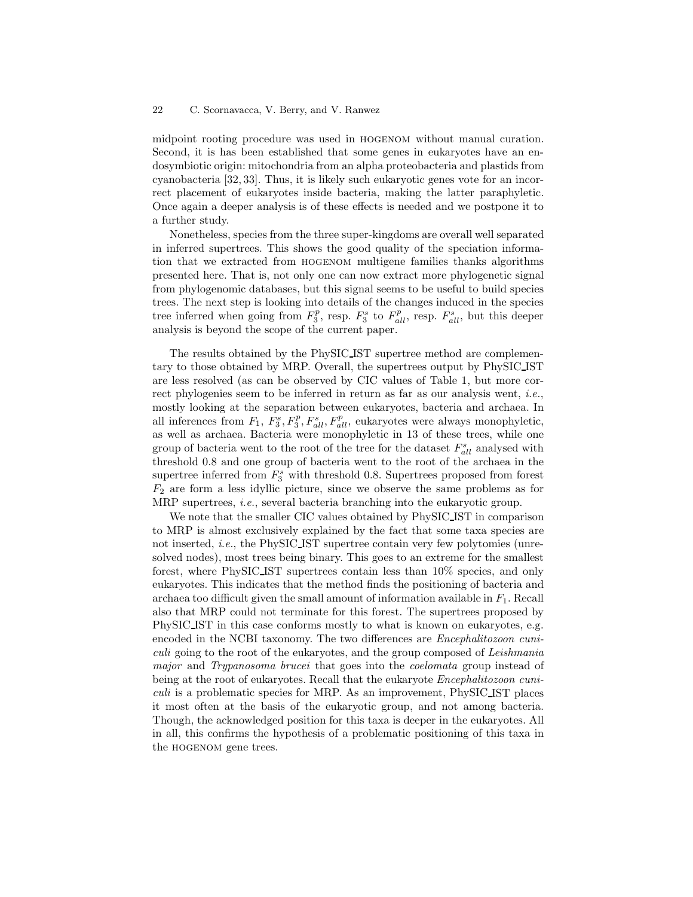midpoint rooting procedure was used in hogenom without manual curation. Second, it is has been established that some genes in eukaryotes have an endosymbiotic origin: mitochondria from an alpha proteobacteria and plastids from cyanobacteria [32, 33]. Thus, it is likely such eukaryotic genes vote for an incorrect placement of eukaryotes inside bacteria, making the latter paraphyletic. Once again a deeper analysis is of these effects is needed and we postpone it to a further study.

Nonetheless, species from the three super-kingdoms are overall well separated in inferred supertrees. This shows the good quality of the speciation information that we extracted from hogenom multigene families thanks algorithms presented here. That is, not only one can now extract more phylogenetic signal from phylogenomic databases, but this signal seems to be useful to build species trees. The next step is looking into details of the changes induced in the species tree inferred when going from  $F_3^p$ , resp.  $F_3^s$  to  $F_{all}^p$ , resp.  $F_{all}^s$ , but this deeper analysis is beyond the scope of the current paper.

The results obtained by the PhySIC IST supertree method are complementary to those obtained by MRP. Overall, the supertrees output by PhySIC IST are less resolved (as can be observed by CIC values of Table 1, but more correct phylogenies seem to be inferred in return as far as our analysis went, i.e., mostly looking at the separation between eukaryotes, bacteria and archaea. In all inferences from  $F_1$ ,  $F_3^s$ ,  $F_3^p$ ,  $F_{all}^s$ ,  $F_{all}^p$ , eukaryotes were always monophyletic, as well as archaea. Bacteria were monophyletic in 13 of these trees, while one group of bacteria went to the root of the tree for the dataset  $F_{all}^s$  analysed with threshold 0.8 and one group of bacteria went to the root of the archaea in the supertree inferred from  $F_3^s$  with threshold 0.8. Supertrees proposed from forest  $F_2$  are form a less idyllic picture, since we observe the same problems as for MRP supertrees, *i.e.*, several bacteria branching into the eukaryotic group.

We note that the smaller CIC values obtained by PhySIC IST in comparison to MRP is almost exclusively explained by the fact that some taxa species are not inserted, i.e., the PhySIC IST supertree contain very few polytomies (unresolved nodes), most trees being binary. This goes to an extreme for the smallest forest, where PhySIC IST supertrees contain less than 10% species, and only eukaryotes. This indicates that the method finds the positioning of bacteria and archaea too difficult given the small amount of information available in  $F_1$ . Recall also that MRP could not terminate for this forest. The supertrees proposed by PhySIC IST in this case conforms mostly to what is known on eukaryotes, e.g. encoded in the NCBI taxonomy. The two differences are Encephalitozoon cuniculi going to the root of the eukaryotes, and the group composed of Leishmania major and Trypanosoma brucei that goes into the *coelomata* group instead of being at the root of eukaryotes. Recall that the eukaryote *Encephalitozoon cuni*culi is a problematic species for MRP. As an improvement, PhySIC IST places it most often at the basis of the eukaryotic group, and not among bacteria. Though, the acknowledged position for this taxa is deeper in the eukaryotes. All in all, this confirms the hypothesis of a problematic positioning of this taxa in the hogenom gene trees.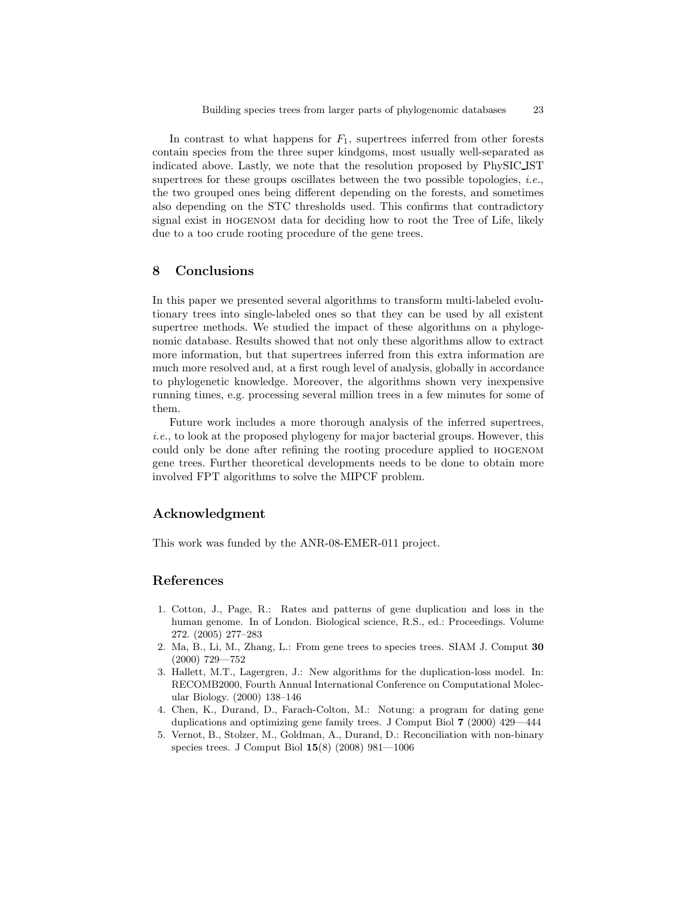In contrast to what happens for  $F_1$ , supertrees inferred from other forests contain species from the three super kindgoms, most usually well-separated as indicated above. Lastly, we note that the resolution proposed by PhySIC IST supertrees for these groups oscillates between the two possible topologies, *i.e.*, the two grouped ones being different depending on the forests, and sometimes also depending on the STC thresholds used. This confirms that contradictory signal exist in hogenom data for deciding how to root the Tree of Life, likely due to a too crude rooting procedure of the gene trees.

### 8 Conclusions

In this paper we presented several algorithms to transform multi-labeled evolutionary trees into single-labeled ones so that they can be used by all existent supertree methods. We studied the impact of these algorithms on a phylogenomic database. Results showed that not only these algorithms allow to extract more information, but that supertrees inferred from this extra information are much more resolved and, at a first rough level of analysis, globally in accordance to phylogenetic knowledge. Moreover, the algorithms shown very inexpensive running times, e.g. processing several million trees in a few minutes for some of them.

Future work includes a more thorough analysis of the inferred supertrees, i.e., to look at the proposed phylogeny for major bacterial groups. However, this could only be done after refining the rooting procedure applied to hogenom gene trees. Further theoretical developments needs to be done to obtain more involved FPT algorithms to solve the MIPCF problem.

### Acknowledgment

This work was funded by the ANR-08-EMER-011 project.

# References

- 1. Cotton, J., Page, R.: Rates and patterns of gene duplication and loss in the human genome. In of London. Biological science, R.S., ed.: Proceedings. Volume 272. (2005) 277–283
- 2. Ma, B., Li, M., Zhang, L.: From gene trees to species trees. SIAM J. Comput 30 (2000) 729—752
- 3. Hallett, M.T., Lagergren, J.: New algorithms for the duplication-loss model. In: RECOMB2000, Fourth Annual International Conference on Computational Molecular Biology. (2000) 138–146
- 4. Chen, K., Durand, D., Farach-Colton, M.: Notung: a program for dating gene duplications and optimizing gene family trees. J Comput Biol 7 (2000) 429—444
- 5. Vernot, B., Stolzer, M., Goldman, A., Durand, D.: Reconciliation with non-binary species trees. J Comput Biol 15(8) (2008) 981—1006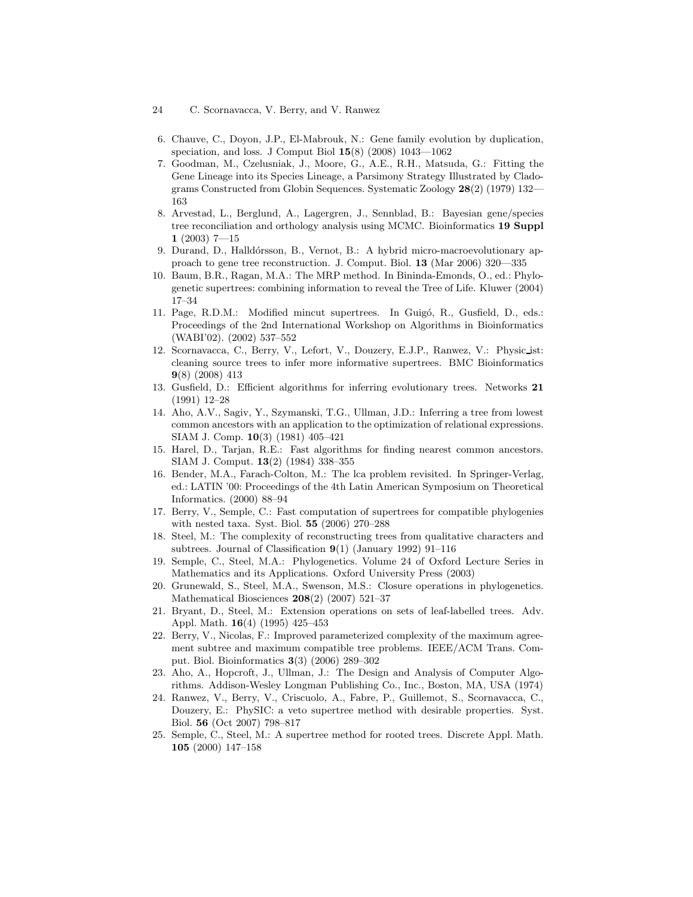- 24 C. Scornavacca, V. Berry, and V. Ranwez
- 6. Chauve, C., Doyon, J.P., El-Mabrouk, N.: Gene family evolution by duplication, speciation, and loss. J Comput Biol 15(8) (2008) 1043—1062
- 7. Goodman, M., Czelusniak, J., Moore, G., A.E., R.H., Matsuda, G.: Fitting the Gene Lineage into its Species Lineage, a Parsimony Strategy Illustrated by Cladograms Constructed from Globin Sequences. Systematic Zoology 28(2) (1979) 132— 163
- 8. Arvestad, L., Berglund, A., Lagergren, J., Sennblad, B.: Bayesian gene/species tree reconciliation and orthology analysis using MCMC. Bioinformatics 19 Suppl  $1(2003)$  7-15
- 9. Durand, D., Halldórsson, B., Vernot, B.: A hybrid micro-macroevolutionary approach to gene tree reconstruction. J. Comput. Biol. 13 (Mar 2006) 320—335
- 10. Baum, B.R., Ragan, M.A.: The MRP method. In Bininda-Emonds, O., ed.: Phylogenetic supertrees: combining information to reveal the Tree of Life. Kluwer (2004) 17–34
- 11. Page, R.D.M.: Modified mincut supertrees. In Guigó, R., Gusfield, D., eds.: Proceedings of the 2nd International Workshop on Algorithms in Bioinformatics (WABI'02). (2002) 537–552
- 12. Scornavacca, C., Berry, V., Lefort, V., Douzery, E.J.P., Ranwez, V.: Physic ist: cleaning source trees to infer more informative supertrees. BMC Bioinformatics 9(8) (2008) 413
- 13. Gusfield, D.: Efficient algorithms for inferring evolutionary trees. Networks 21 (1991) 12–28
- 14. Aho, A.V., Sagiv, Y., Szymanski, T.G., Ullman, J.D.: Inferring a tree from lowest common ancestors with an application to the optimization of relational expressions. SIAM J. Comp. 10(3) (1981) 405–421
- 15. Harel, D., Tarjan, R.E.: Fast algorithms for finding nearest common ancestors. SIAM J. Comput. 13(2) (1984) 338–355
- 16. Bender, M.A., Farach-Colton, M.: The lca problem revisited. In Springer-Verlag, ed.: LATIN '00: Proceedings of the 4th Latin American Symposium on Theoretical Informatics. (2000) 88–94
- 17. Berry, V., Semple, C.: Fast computation of supertrees for compatible phylogenies with nested taxa. Syst. Biol. 55 (2006) 270–288
- 18. Steel, M.: The complexity of reconstructing trees from qualitative characters and subtrees. Journal of Classification  $9(1)$  (January 1992) 91–116
- 19. Semple, C., Steel, M.A.: Phylogenetics. Volume 24 of Oxford Lecture Series in Mathematics and its Applications. Oxford University Press (2003)
- 20. Grunewald, S., Steel, M.A., Swenson, M.S.: Closure operations in phylogenetics. Mathematical Biosciences 208(2) (2007) 521–37
- 21. Bryant, D., Steel, M.: Extension operations on sets of leaf-labelled trees. Adv. Appl. Math. 16(4) (1995) 425–453
- 22. Berry, V., Nicolas, F.: Improved parameterized complexity of the maximum agreement subtree and maximum compatible tree problems. IEEE/ACM Trans. Comput. Biol. Bioinformatics 3(3) (2006) 289–302
- 23. Aho, A., Hopcroft, J., Ullman, J.: The Design and Analysis of Computer Algorithms. Addison-Wesley Longman Publishing Co., Inc., Boston, MA, USA (1974)
- 24. Ranwez, V., Berry, V., Criscuolo, A., Fabre, P., Guillemot, S., Scornavacca, C., Douzery, E.: PhySIC: a veto supertree method with desirable properties. Syst. Biol. 56 (Oct 2007) 798–817
- 25. Semple, C., Steel, M.: A supertree method for rooted trees. Discrete Appl. Math. 105 (2000) 147–158